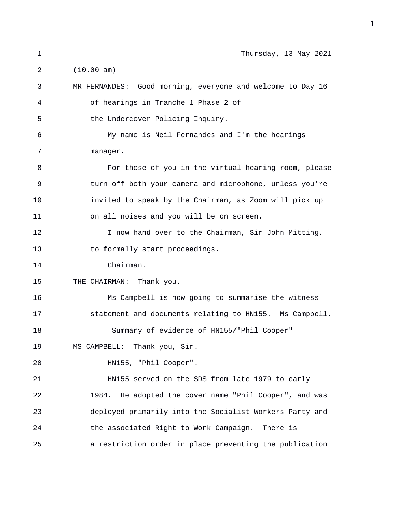| 1  | Thursday, 13 May 2021                                      |
|----|------------------------------------------------------------|
| 2  | (10.00 am)                                                 |
| 3  | MR FERNANDES: Good morning, everyone and welcome to Day 16 |
| 4  | of hearings in Tranche 1 Phase 2 of                        |
| 5  | the Undercover Policing Inquiry.                           |
| 6  | My name is Neil Fernandes and I'm the hearings             |
| 7  | manager.                                                   |
| 8  | For those of you in the virtual hearing room, please       |
| 9  | turn off both your camera and microphone, unless you're    |
| 10 | invited to speak by the Chairman, as Zoom will pick up     |
| 11 | on all noises and you will be on screen.                   |
| 12 | I now hand over to the Chairman, Sir John Mitting,         |
| 13 | to formally start proceedings.                             |
| 14 | Chairman.                                                  |
| 15 | THE CHAIRMAN: Thank you.                                   |
| 16 | Ms Campbell is now going to summarise the witness          |
| 17 | statement and documents relating to HN155. Ms Campbell.    |
| 18 | Summary of evidence of HN155/"Phil Cooper"                 |
| 19 | MS CAMPBELL: Thank you, Sir.                               |
| 20 | HN155, "Phil Cooper".                                      |
| 21 | HN155 served on the SDS from late 1979 to early            |
| 22 | 1984. He adopted the cover name "Phil Cooper", and was     |
| 23 | deployed primarily into the Socialist Workers Party and    |
| 24 | the associated Right to Work Campaign.<br>There is         |
| 25 | a restriction order in place preventing the publication    |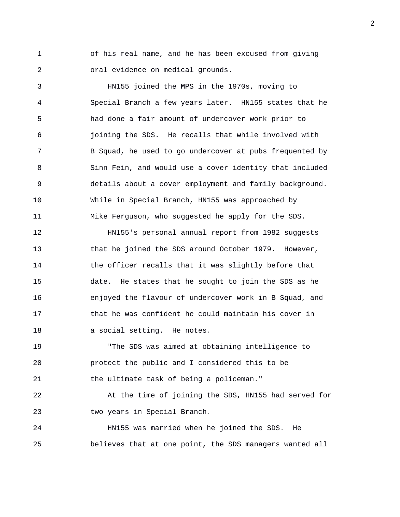1 of his real name, and he has been excused from giving 2 oral evidence on medical grounds.

3 HN155 joined the MPS in the 1970s, moving to 4 Special Branch a few years later. HN155 states that he 5 had done a fair amount of undercover work prior to 6 joining the SDS. He recalls that while involved with 7 B Squad, he used to go undercover at pubs frequented by 8 Sinn Fein, and would use a cover identity that included 9 details about a cover employment and family background. 10 While in Special Branch, HN155 was approached by 11 Mike Ferguson, who suggested he apply for the SDS.

12 HN155's personal annual report from 1982 suggests 13 that he joined the SDS around October 1979. However, 14 the officer recalls that it was slightly before that 15 date. He states that he sought to join the SDS as he 16 enjoyed the flavour of undercover work in B Squad, and 17 that he was confident he could maintain his cover in 18 a social setting. He notes.

19 "The SDS was aimed at obtaining intelligence to 20 protect the public and I considered this to be 21 the ultimate task of being a policeman."

22 At the time of joining the SDS, HN155 had served for 23 two years in Special Branch.

24 HN155 was married when he joined the SDS. He 25 believes that at one point, the SDS managers wanted all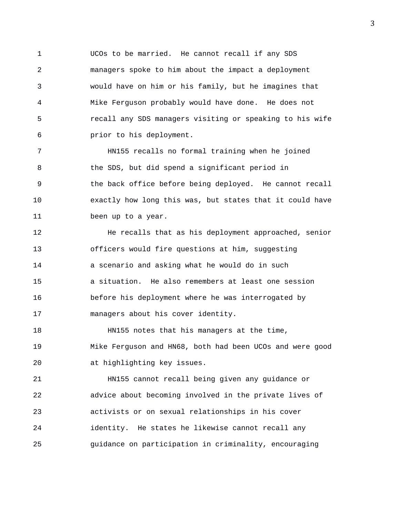1 UCOs to be married. He cannot recall if any SDS 2 managers spoke to him about the impact a deployment 3 would have on him or his family, but he imagines that 4 Mike Ferguson probably would have done. He does not 5 recall any SDS managers visiting or speaking to his wife 6 prior to his deployment.

7 HN155 recalls no formal training when he joined 8 the SDS, but did spend a significant period in 9 the back office before being deployed. He cannot recall 10 exactly how long this was, but states that it could have 11 been up to a year.

12 He recalls that as his deployment approached, senior 13 officers would fire questions at him, suggesting 14 a scenario and asking what he would do in such 15 a situation. He also remembers at least one session 16 before his deployment where he was interrogated by 17 managers about his cover identity.

18 HN155 notes that his managers at the time, 19 Mike Ferguson and HN68, both had been UCOs and were good 20 at highlighting key issues.

21 HN155 cannot recall being given any guidance or 22 advice about becoming involved in the private lives of 23 activists or on sexual relationships in his cover 24 identity. He states he likewise cannot recall any 25 guidance on participation in criminality, encouraging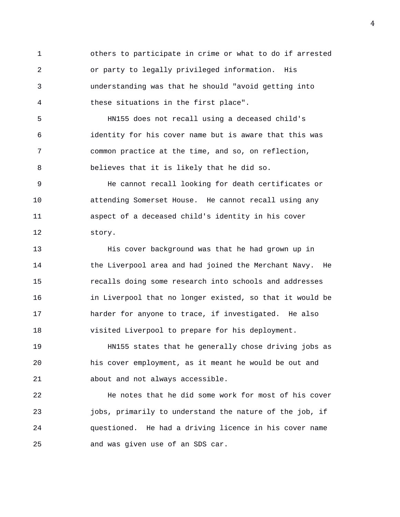1 others to participate in crime or what to do if arrested 2 or party to legally privileged information. His 3 understanding was that he should "avoid getting into 4 these situations in the first place".

5 HN155 does not recall using a deceased child's 6 identity for his cover name but is aware that this was 7 common practice at the time, and so, on reflection, 8 believes that it is likely that he did so.

9 He cannot recall looking for death certificates or 10 attending Somerset House. He cannot recall using any 11 aspect of a deceased child's identity in his cover 12 story.

13 His cover background was that he had grown up in 14 the Liverpool area and had joined the Merchant Navy. He 15 recalls doing some research into schools and addresses 16 in Liverpool that no longer existed, so that it would be 17 harder for anyone to trace, if investigated. He also 18 visited Liverpool to prepare for his deployment.

19 HN155 states that he generally chose driving jobs as 20 his cover employment, as it meant he would be out and 21 about and not always accessible.

22 He notes that he did some work for most of his cover 23 jobs, primarily to understand the nature of the job, if 24 questioned. He had a driving licence in his cover name 25 and was given use of an SDS car.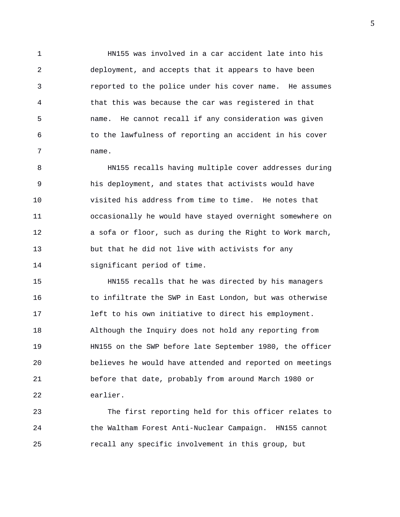1 HN155 was involved in a car accident late into his 2 deployment, and accepts that it appears to have been 3 reported to the police under his cover name. He assumes 4 that this was because the car was registered in that 5 name. He cannot recall if any consideration was given 6 to the lawfulness of reporting an accident in his cover 7 name.

8 HN155 recalls having multiple cover addresses during 9 his deployment, and states that activists would have 10 visited his address from time to time. He notes that 11 occasionally he would have stayed overnight somewhere on 12 a sofa or floor, such as during the Right to Work march, 13 but that he did not live with activists for any 14 significant period of time.

15 HN155 recalls that he was directed by his managers 16 to infiltrate the SWP in East London, but was otherwise 17 left to his own initiative to direct his employment. 18 Although the Inquiry does not hold any reporting from 19 HN155 on the SWP before late September 1980, the officer 20 believes he would have attended and reported on meetings 21 before that date, probably from around March 1980 or 22 earlier.

23 The first reporting held for this officer relates to 24 the Waltham Forest Anti-Nuclear Campaign. HN155 cannot 25 recall any specific involvement in this group, but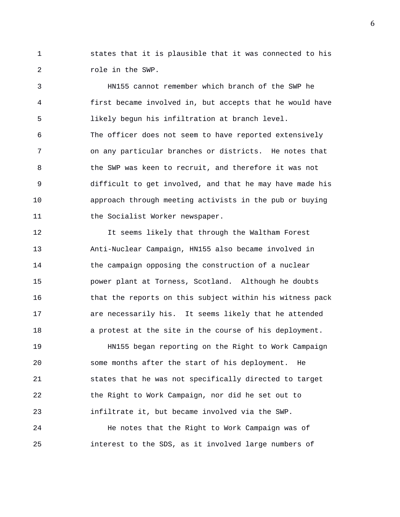1 states that it is plausible that it was connected to his 2 role in the SWP.

3 HN155 cannot remember which branch of the SWP he 4 first became involved in, but accepts that he would have 5 likely begun his infiltration at branch level. 6 The officer does not seem to have reported extensively 7 on any particular branches or districts. He notes that 8 6 1 the SWP was keen to recruit, and therefore it was not 9 difficult to get involved, and that he may have made his 10 approach through meeting activists in the pub or buying 11 the Socialist Worker newspaper.

12 It seems likely that through the Waltham Forest 13 Anti-Nuclear Campaign, HN155 also became involved in 14 the campaign opposing the construction of a nuclear 15 power plant at Torness, Scotland. Although he doubts 16 that the reports on this subject within his witness pack 17 are necessarily his. It seems likely that he attended 18 a protest at the site in the course of his deployment.

19 HN155 began reporting on the Right to Work Campaign 20 some months after the start of his deployment. He 21 states that he was not specifically directed to target 22 the Right to Work Campaign, nor did he set out to 23 infiltrate it, but became involved via the SWP.

24 He notes that the Right to Work Campaign was of 25 interest to the SDS, as it involved large numbers of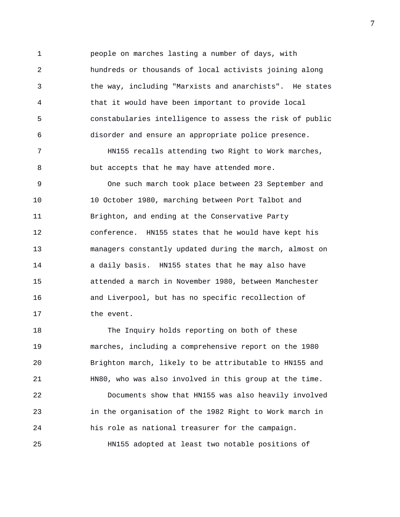1 people on marches lasting a number of days, with 2 hundreds or thousands of local activists joining along 3 the way, including "Marxists and anarchists". He states 4 that it would have been important to provide local 5 constabularies intelligence to assess the risk of public 6 disorder and ensure an appropriate police presence.

7 HN155 recalls attending two Right to Work marches, 8 but accepts that he may have attended more.

9 One such march took place between 23 September and 10 10 October 1980, marching between Port Talbot and 11 Brighton, and ending at the Conservative Party 12 conference. HN155 states that he would have kept his 13 managers constantly updated during the march, almost on 14 a daily basis. HN155 states that he may also have 15 attended a march in November 1980, between Manchester 16 and Liverpool, but has no specific recollection of 17 the event.

18 The Inquiry holds reporting on both of these 19 marches, including a comprehensive report on the 1980 20 Brighton march, likely to be attributable to HN155 and 21 HN80, who was also involved in this group at the time.

22 Documents show that HN155 was also heavily involved 23 in the organisation of the 1982 Right to Work march in 24 his role as national treasurer for the campaign. 25 HN155 adopted at least two notable positions of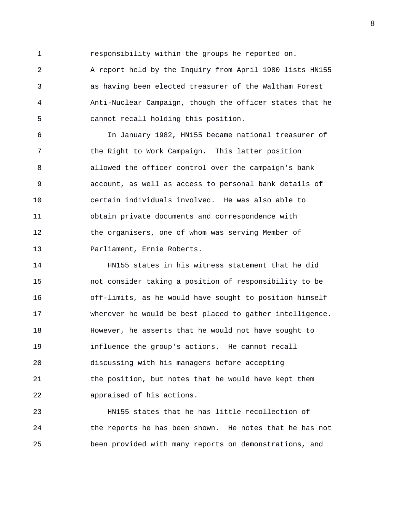1 responsibility within the groups he reported on.

2 A report held by the Inquiry from April 1980 lists HN155 3 as having been elected treasurer of the Waltham Forest 4 Anti-Nuclear Campaign, though the officer states that he 5 cannot recall holding this position.

6 In January 1982, HN155 became national treasurer of 7 the Right to Work Campaign. This latter position 8 allowed the officer control over the campaign's bank 9 account, as well as access to personal bank details of 10 certain individuals involved. He was also able to 11 obtain private documents and correspondence with 12 the organisers, one of whom was serving Member of 13 Parliament, Ernie Roberts.

14 HN155 states in his witness statement that he did 15 not consider taking a position of responsibility to be 16 off-limits, as he would have sought to position himself 17 wherever he would be best placed to gather intelligence. 18 However, he asserts that he would not have sought to 19 influence the group's actions. He cannot recall 20 discussing with his managers before accepting 21 the position, but notes that he would have kept them 22 appraised of his actions.

23 HN155 states that he has little recollection of 24 the reports he has been shown. He notes that he has not 25 been provided with many reports on demonstrations, and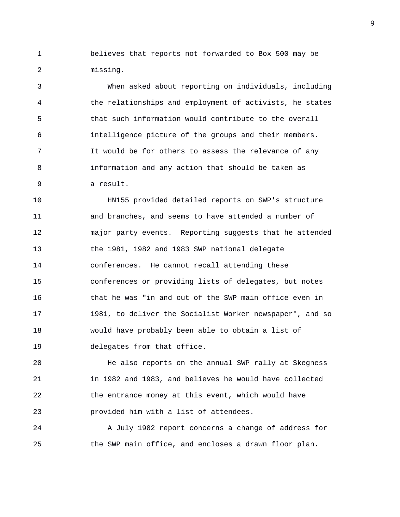1 believes that reports not forwarded to Box 500 may be 2 missing.

3 When asked about reporting on individuals, including 4 the relationships and employment of activists, he states 5 that such information would contribute to the overall 6 intelligence picture of the groups and their members. 7 It would be for others to assess the relevance of any 8 information and any action that should be taken as 9 a result.

10 HN155 provided detailed reports on SWP's structure 11 and branches, and seems to have attended a number of 12 major party events. Reporting suggests that he attended 13 the 1981, 1982 and 1983 SWP national delegate 14 conferences. He cannot recall attending these 15 conferences or providing lists of delegates, but notes 16 that he was "in and out of the SWP main office even in 17 1981, to deliver the Socialist Worker newspaper", and so 18 would have probably been able to obtain a list of 19 delegates from that office.

20 He also reports on the annual SWP rally at Skegness 21 in 1982 and 1983, and believes he would have collected 22 the entrance money at this event, which would have 23 provided him with a list of attendees.

24 A July 1982 report concerns a change of address for 25 the SWP main office, and encloses a drawn floor plan.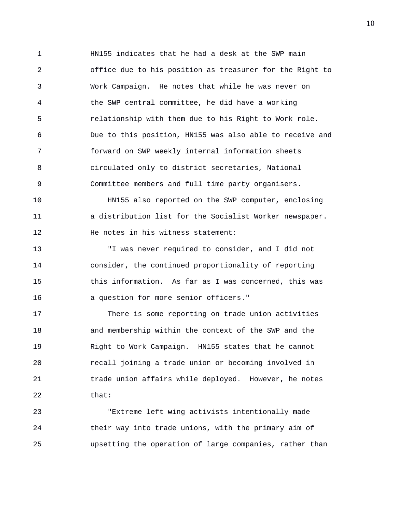1 HN155 indicates that he had a desk at the SWP main 2 office due to his position as treasurer for the Right to 3 Work Campaign. He notes that while he was never on 4 the SWP central committee, he did have a working 5 relationship with them due to his Right to Work role. 6 Due to this position, HN155 was also able to receive and 7 forward on SWP weekly internal information sheets 8 circulated only to district secretaries, National 9 Committee members and full time party organisers.

10 HN155 also reported on the SWP computer, enclosing 11 a distribution list for the Socialist Worker newspaper. 12 He notes in his witness statement:

13 "I was never required to consider, and I did not 14 consider, the continued proportionality of reporting 15 this information. As far as I was concerned, this was 16 a question for more senior officers."

17 There is some reporting on trade union activities 18 and membership within the context of the SWP and the 19 Right to Work Campaign. HN155 states that he cannot 20 recall joining a trade union or becoming involved in 21 trade union affairs while deployed. However, he notes 22 that:

23 "Extreme left wing activists intentionally made 24 their way into trade unions, with the primary aim of 25 upsetting the operation of large companies, rather than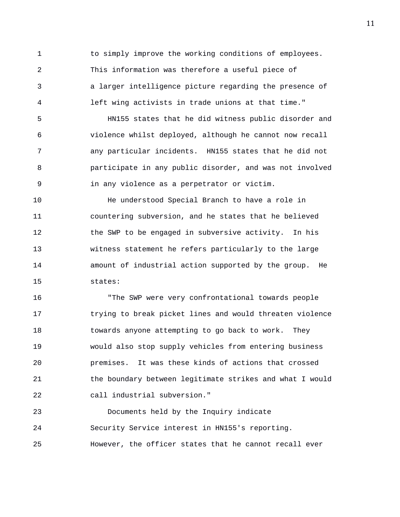1 to simply improve the working conditions of employees. 2 This information was therefore a useful piece of 3 a larger intelligence picture regarding the presence of 4 left wing activists in trade unions at that time."

5 HN155 states that he did witness public disorder and 6 violence whilst deployed, although he cannot now recall 7 any particular incidents. HN155 states that he did not 8 participate in any public disorder, and was not involved 9 in any violence as a perpetrator or victim.

10 He understood Special Branch to have a role in 11 countering subversion, and he states that he believed 12 the SWP to be engaged in subversive activity. In his 13 witness statement he refers particularly to the large 14 amount of industrial action supported by the group. He 15 states:

16 "The SWP were very confrontational towards people 17 trying to break picket lines and would threaten violence 18 towards anyone attempting to go back to work. They 19 would also stop supply vehicles from entering business 20 premises. It was these kinds of actions that crossed 21 the boundary between legitimate strikes and what I would 22 call industrial subversion."

23 Documents held by the Inquiry indicate 24 Security Service interest in HN155's reporting. 25 However, the officer states that he cannot recall ever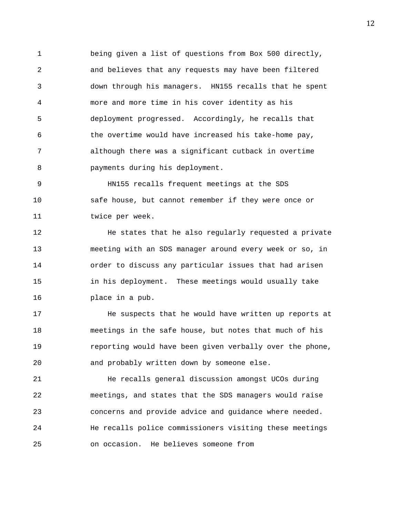1 being given a list of questions from Box 500 directly, 2 and believes that any requests may have been filtered 3 down through his managers. HN155 recalls that he spent 4 more and more time in his cover identity as his 5 deployment progressed. Accordingly, he recalls that 6 the overtime would have increased his take-home pay, 7 although there was a significant cutback in overtime 8 payments during his deployment.

9 HN155 recalls frequent meetings at the SDS 10 safe house, but cannot remember if they were once or 11 twice per week.

12 He states that he also regularly requested a private 13 meeting with an SDS manager around every week or so, in 14 order to discuss any particular issues that had arisen 15 in his deployment. These meetings would usually take 16 place in a pub.

17 He suspects that he would have written up reports at 18 meetings in the safe house, but notes that much of his 19 reporting would have been given verbally over the phone, 20 and probably written down by someone else.

21 He recalls general discussion amongst UCOs during 22 meetings, and states that the SDS managers would raise 23 concerns and provide advice and guidance where needed. 24 He recalls police commissioners visiting these meetings 25 on occasion. He believes someone from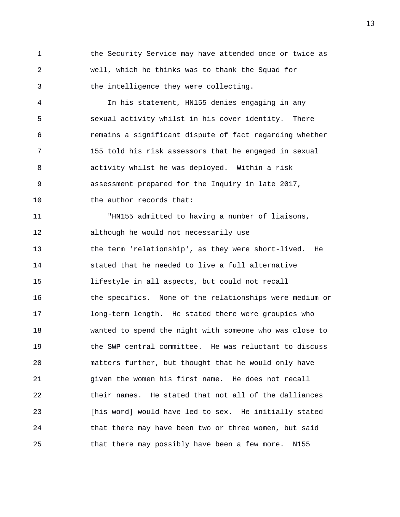1 the Security Service may have attended once or twice as 2 well, which he thinks was to thank the Squad for 3 the intelligence they were collecting.

4 In his statement, HN155 denies engaging in any 5 sexual activity whilst in his cover identity. There 6 remains a significant dispute of fact regarding whether 7 155 told his risk assessors that he engaged in sexual 8 activity whilst he was deployed. Within a risk 9 assessment prepared for the Inquiry in late 2017, 10 the author records that:

11 "HN155 admitted to having a number of liaisons, 12 although he would not necessarily use 13 the term 'relationship', as they were short-lived. He 14 stated that he needed to live a full alternative 15 lifestyle in all aspects, but could not recall 16 the specifics. None of the relationships were medium or 17 long-term length. He stated there were groupies who 18 wanted to spend the night with someone who was close to 19 the SWP central committee. He was reluctant to discuss 20 matters further, but thought that he would only have 21 given the women his first name. He does not recall 22 their names. He stated that not all of the dalliances 23 [his word] would have led to sex. He initially stated 24 that there may have been two or three women, but said 25 that there may possibly have been a few more. N155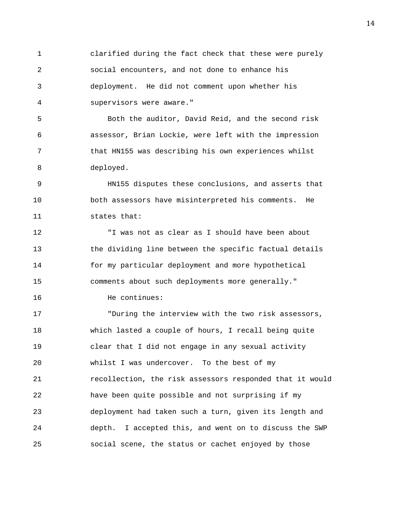1 clarified during the fact check that these were purely 2 social encounters, and not done to enhance his 3 deployment. He did not comment upon whether his 4 supervisors were aware."

5 Both the auditor, David Reid, and the second risk 6 assessor, Brian Lockie, were left with the impression 7 that HN155 was describing his own experiences whilst 8 deployed.

9 HN155 disputes these conclusions, and asserts that 10 both assessors have misinterpreted his comments. He 11 states that:

12 "I was not as clear as I should have been about 13 the dividing line between the specific factual details 14 for my particular deployment and more hypothetical 15 comments about such deployments more generally."

16 He continues:

17 "During the interview with the two risk assessors, 18 which lasted a couple of hours, I recall being quite 19 clear that I did not engage in any sexual activity 20 whilst I was undercover. To the best of my 21 recollection, the risk assessors responded that it would 22 have been quite possible and not surprising if my 23 deployment had taken such a turn, given its length and 24 depth. I accepted this, and went on to discuss the SWP 25 social scene, the status or cachet enjoyed by those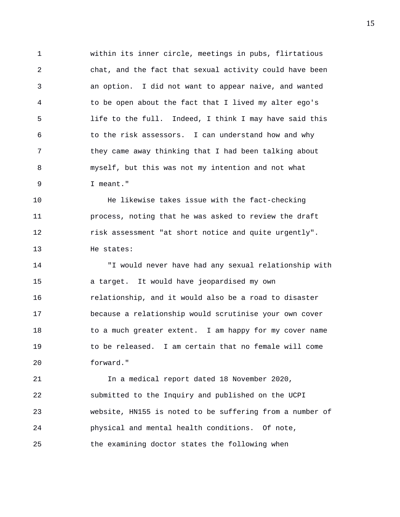1 within its inner circle, meetings in pubs, flirtatious 2 chat, and the fact that sexual activity could have been 3 an option. I did not want to appear naive, and wanted 4 to be open about the fact that I lived my alter ego's 5 life to the full. Indeed, I think I may have said this 6 to the risk assessors. I can understand how and why 7 they came away thinking that I had been talking about 8 myself, but this was not my intention and not what 9 I meant."

10 He likewise takes issue with the fact-checking 11 process, noting that he was asked to review the draft 12 risk assessment "at short notice and quite urgently". 13 He states:

14 "I would never have had any sexual relationship with 15 a target. It would have jeopardised my own 16 relationship, and it would also be a road to disaster 17 because a relationship would scrutinise your own cover 18 to a much greater extent. I am happy for my cover name 19 to be released. I am certain that no female will come 20 forward."

21 In a medical report dated 18 November 2020, 22 submitted to the Inquiry and published on the UCPI 23 website, HN155 is noted to be suffering from a number of 24 physical and mental health conditions. Of note, 25 the examining doctor states the following when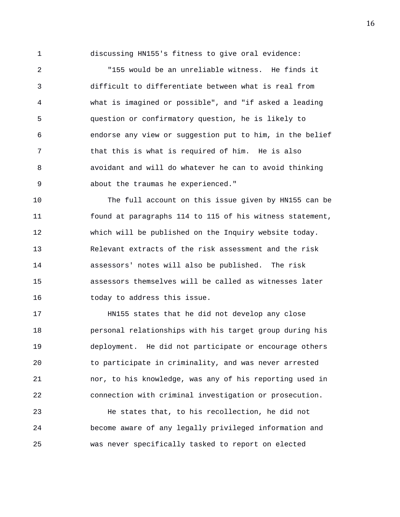1 discussing HN155's fitness to give oral evidence:

2 "155 would be an unreliable witness. He finds it 3 difficult to differentiate between what is real from 4 what is imagined or possible", and "if asked a leading 5 question or confirmatory question, he is likely to 6 endorse any view or suggestion put to him, in the belief 7 that this is what is required of him. He is also 8 avoidant and will do whatever he can to avoid thinking 9 about the traumas he experienced."

10 The full account on this issue given by HN155 can be 11 found at paragraphs 114 to 115 of his witness statement, 12 which will be published on the Inquiry website today. 13 Relevant extracts of the risk assessment and the risk 14 assessors' notes will also be published. The risk 15 assessors themselves will be called as witnesses later 16 today to address this issue.

17 HN155 states that he did not develop any close 18 personal relationships with his target group during his 19 deployment. He did not participate or encourage others 20 to participate in criminality, and was never arrested 21 nor, to his knowledge, was any of his reporting used in 22 connection with criminal investigation or prosecution.

23 He states that, to his recollection, he did not 24 become aware of any legally privileged information and 25 was never specifically tasked to report on elected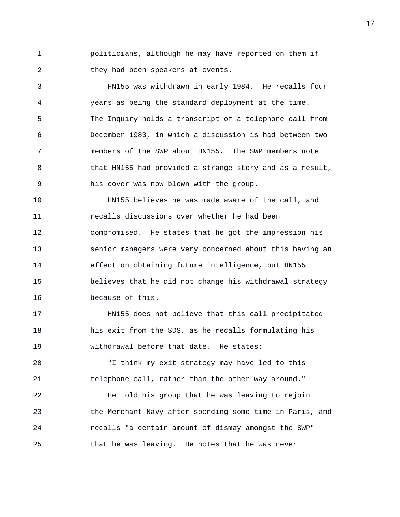1 politicians, although he may have reported on them if 2 they had been speakers at events.

3 HN155 was withdrawn in early 1984. He recalls four 4 years as being the standard deployment at the time. 5 The Inquiry holds a transcript of a telephone call from 6 December 1983, in which a discussion is had between two 7 members of the SWP about HN155. The SWP members note 8 that HN155 had provided a strange story and as a result, 9 his cover was now blown with the group.

10 HN155 believes he was made aware of the call, and 11 recalls discussions over whether he had been 12 compromised. He states that he got the impression his 13 senior managers were very concerned about this having an 14 effect on obtaining future intelligence, but HN155 15 believes that he did not change his withdrawal strategy 16 because of this.

17 HN155 does not believe that this call precipitated 18 his exit from the SDS, as he recalls formulating his 19 withdrawal before that date. He states:

20 "I think my exit strategy may have led to this 21 telephone call, rather than the other way around."

22 He told his group that he was leaving to rejoin 23 the Merchant Navy after spending some time in Paris, and 24 recalls "a certain amount of dismay amongst the SWP" 25 that he was leaving. He notes that he was never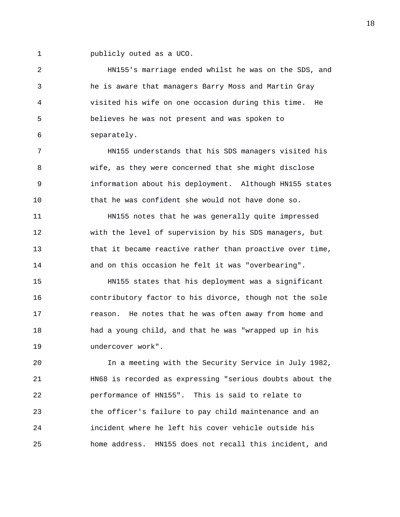1 publicly outed as a UCO.

2 HN155's marriage ended whilst he was on the SDS, and 3 he is aware that managers Barry Moss and Martin Gray 4 visited his wife on one occasion during this time. He 5 believes he was not present and was spoken to 6 separately.

7 HN155 understands that his SDS managers visited his 8 wife, as they were concerned that she might disclose 9 information about his deployment. Although HN155 states 10 that he was confident she would not have done so.

11 HN155 notes that he was generally quite impressed 12 with the level of supervision by his SDS managers, but 13 that it became reactive rather than proactive over time, 14 and on this occasion he felt it was "overbearing".

15 HN155 states that his deployment was a significant 16 contributory factor to his divorce, though not the sole 17 reason. He notes that he was often away from home and 18 had a young child, and that he was "wrapped up in his 19 undercover work".

20 In a meeting with the Security Service in July 1982, 21 HN68 is recorded as expressing "serious doubts about the 22 performance of HN155". This is said to relate to 23 the officer's failure to pay child maintenance and an 24 incident where he left his cover vehicle outside his 25 home address. HN155 does not recall this incident, and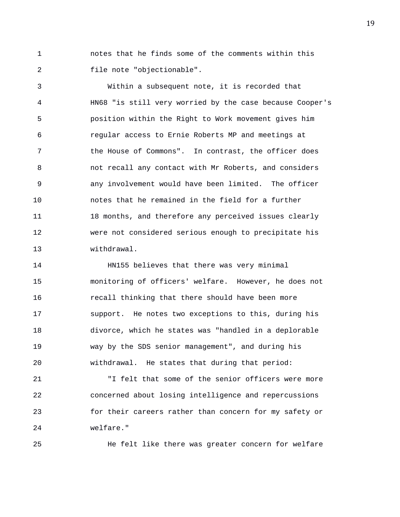1 notes that he finds some of the comments within this 2 file note "objectionable".

3 Within a subsequent note, it is recorded that 4 HN68 "is still very worried by the case because Cooper's 5 position within the Right to Work movement gives him 6 regular access to Ernie Roberts MP and meetings at 7 the House of Commons". In contrast, the officer does 8 not recall any contact with Mr Roberts, and considers 9 any involvement would have been limited. The officer 10 notes that he remained in the field for a further 11 18 months, and therefore any perceived issues clearly 12 were not considered serious enough to precipitate his 13 withdrawal.

14 HN155 believes that there was very minimal 15 monitoring of officers' welfare. However, he does not 16 recall thinking that there should have been more 17 support. He notes two exceptions to this, during his 18 divorce, which he states was "handled in a deplorable 19 way by the SDS senior management", and during his 20 withdrawal. He states that during that period:

21 "I felt that some of the senior officers were more 22 concerned about losing intelligence and repercussions 23 for their careers rather than concern for my safety or 24 welfare."

25 He felt like there was greater concern for welfare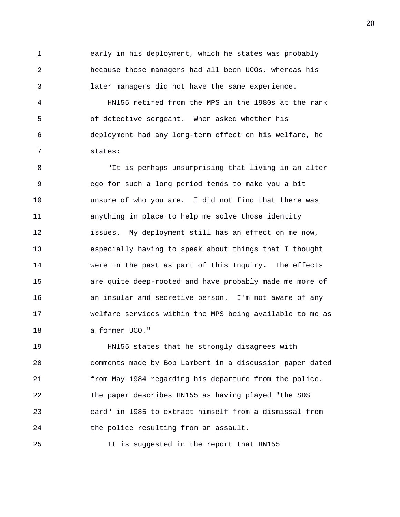1 early in his deployment, which he states was probably 2 because those managers had all been UCOs, whereas his 3 later managers did not have the same experience.

4 HN155 retired from the MPS in the 1980s at the rank 5 of detective sergeant. When asked whether his 6 deployment had any long-term effect on his welfare, he 7 states:

8 "It is perhaps unsurprising that living in an alter 9 ego for such a long period tends to make you a bit 10 unsure of who you are. I did not find that there was 11 anything in place to help me solve those identity 12 issues. My deployment still has an effect on me now, 13 especially having to speak about things that I thought 14 were in the past as part of this Inquiry. The effects 15 are quite deep-rooted and have probably made me more of 16 an insular and secretive person. I'm not aware of any 17 welfare services within the MPS being available to me as 18 a former UCO."

19 HN155 states that he strongly disagrees with 20 comments made by Bob Lambert in a discussion paper dated 21 from May 1984 regarding his departure from the police. 22 The paper describes HN155 as having played "the SDS 23 card" in 1985 to extract himself from a dismissal from 24 the police resulting from an assault.

25 It is suggested in the report that HN155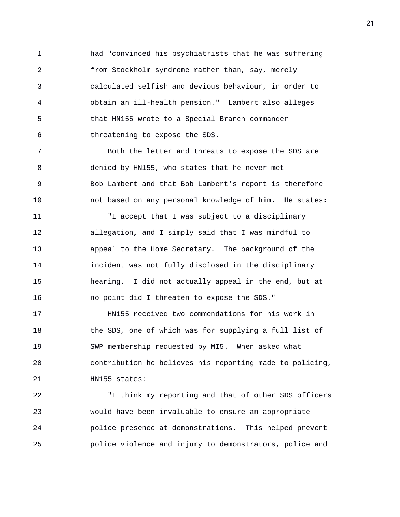1 had "convinced his psychiatrists that he was suffering 2 from Stockholm syndrome rather than, say, merely 3 calculated selfish and devious behaviour, in order to 4 obtain an ill-health pension." Lambert also alleges 5 that HN155 wrote to a Special Branch commander 6 threatening to expose the SDS.

7 Both the letter and threats to expose the SDS are 8 denied by HN155, who states that he never met 9 Bob Lambert and that Bob Lambert's report is therefore 10 not based on any personal knowledge of him. He states:

11 "I accept that I was subject to a disciplinary 12 allegation, and I simply said that I was mindful to 13 appeal to the Home Secretary. The background of the 14 incident was not fully disclosed in the disciplinary 15 hearing. I did not actually appeal in the end, but at 16 no point did I threaten to expose the SDS."

17 HN155 received two commendations for his work in 18 the SDS, one of which was for supplying a full list of 19 SWP membership requested by MI5. When asked what 20 contribution he believes his reporting made to policing, 21 HN155 states:

22 "I think my reporting and that of other SDS officers 23 would have been invaluable to ensure an appropriate 24 police presence at demonstrations. This helped prevent 25 police violence and injury to demonstrators, police and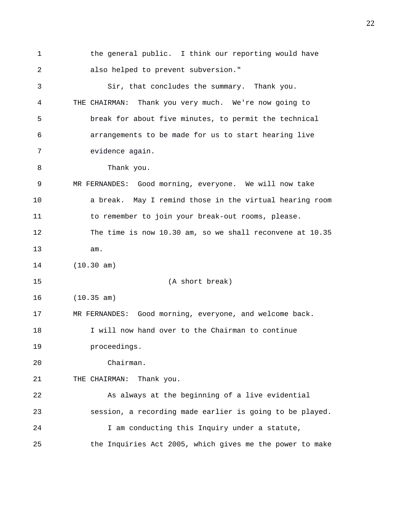1 the general public. I think our reporting would have 2 also helped to prevent subversion." 3 Sir, that concludes the summary. Thank you. 4 THE CHAIRMAN: Thank you very much. We're now going to 5 break for about five minutes, to permit the technical 6 arrangements to be made for us to start hearing live 7 evidence again. 8 Thank you. 9 MR FERNANDES: Good morning, everyone. We will now take 10 a break. May I remind those in the virtual hearing room 11 to remember to join your break-out rooms, please. 12 The time is now 10.30 am, so we shall reconvene at 10.35 13 am. 14 (10.30 am) 15 (A short break) 16 (10.35 am) 17 MR FERNANDES: Good morning, everyone, and welcome back. 18 I will now hand over to the Chairman to continue 19 proceedings. 20 Chairman. 21 THE CHAIRMAN: Thank you. 22 As always at the beginning of a live evidential 23 session, a recording made earlier is going to be played. 24 I am conducting this Inquiry under a statute, 25 the Inquiries Act 2005, which gives me the power to make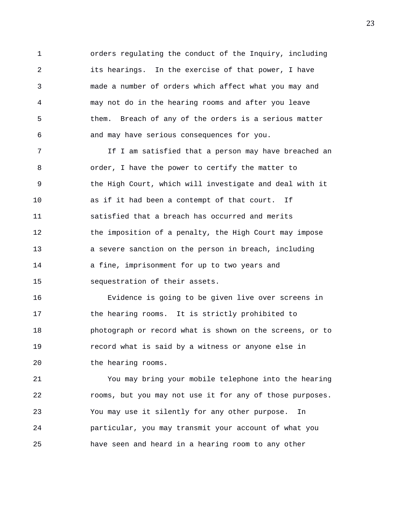1 orders regulating the conduct of the Inquiry, including 2 its hearings. In the exercise of that power, I have 3 made a number of orders which affect what you may and 4 may not do in the hearing rooms and after you leave 5 them. Breach of any of the orders is a serious matter 6 and may have serious consequences for you.

7 If I am satisfied that a person may have breached an 8 order, I have the power to certify the matter to 9 the High Court, which will investigate and deal with it 10 as if it had been a contempt of that court. If 11 satisfied that a breach has occurred and merits 12 the imposition of a penalty, the High Court may impose 13 a severe sanction on the person in breach, including 14 a fine, imprisonment for up to two years and 15 sequestration of their assets.

16 Evidence is going to be given live over screens in 17 the hearing rooms. It is strictly prohibited to 18 photograph or record what is shown on the screens, or to 19 record what is said by a witness or anyone else in 20 the hearing rooms.

21 You may bring your mobile telephone into the hearing 22 rooms, but you may not use it for any of those purposes. 23 You may use it silently for any other purpose. In 24 particular, you may transmit your account of what you 25 have seen and heard in a hearing room to any other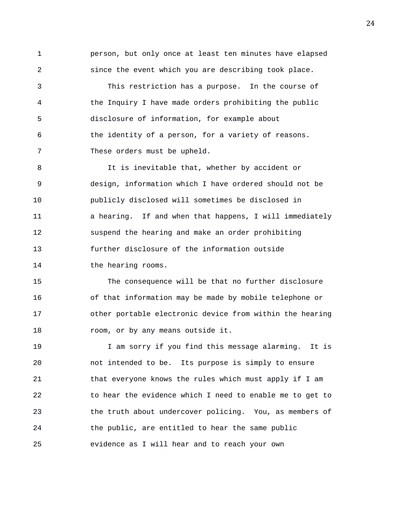1 person, but only once at least ten minutes have elapsed 2 since the event which you are describing took place. 3 This restriction has a purpose. In the course of 4 the Inquiry I have made orders prohibiting the public 5 disclosure of information, for example about 6 the identity of a person, for a variety of reasons.

7 These orders must be upheld.

8 It is inevitable that, whether by accident or 9 design, information which I have ordered should not be 10 publicly disclosed will sometimes be disclosed in 11 a hearing. If and when that happens, I will immediately 12 suspend the hearing and make an order prohibiting 13 further disclosure of the information outside 14 the hearing rooms.

15 The consequence will be that no further disclosure 16 of that information may be made by mobile telephone or 17 other portable electronic device from within the hearing 18 room, or by any means outside it.

19 I am sorry if you find this message alarming. It is 20 not intended to be. Its purpose is simply to ensure 21 that everyone knows the rules which must apply if I am 22 to hear the evidence which I need to enable me to get to 23 the truth about undercover policing. You, as members of 24 the public, are entitled to hear the same public 25 evidence as I will hear and to reach your own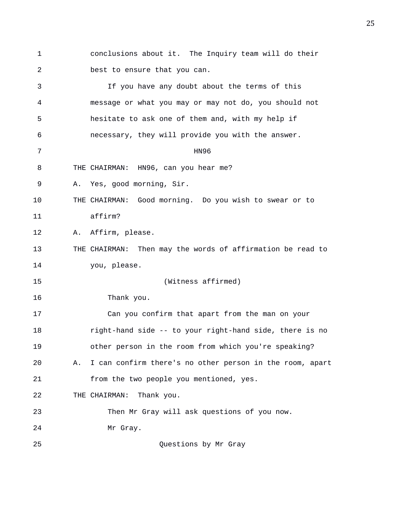1 conclusions about it. The Inquiry team will do their 2 best to ensure that you can. 3 If you have any doubt about the terms of this 4 message or what you may or may not do, you should not 5 hesitate to ask one of them and, with my help if 6 necessary, they will provide you with the answer. 7 HN96 8 THE CHAIRMAN: HN96, can you hear me? 9 A. Yes, good morning, Sir. 10 THE CHAIRMAN: Good morning. Do you wish to swear or to 11 affirm? 12 A. Affirm, please. 13 THE CHAIRMAN: Then may the words of affirmation be read to 14 you, please. 15 (Witness affirmed) 16 Thank you. 17 Can you confirm that apart from the man on your 18 right-hand side -- to your right-hand side, there is no 19 other person in the room from which you're speaking? 20 A. I can confirm there's no other person in the room, apart 21 from the two people you mentioned, yes. 22 THE CHAIRMAN: Thank you. 23 Then Mr Gray will ask questions of you now. 24 Mr Gray. 25 Questions by Mr Gray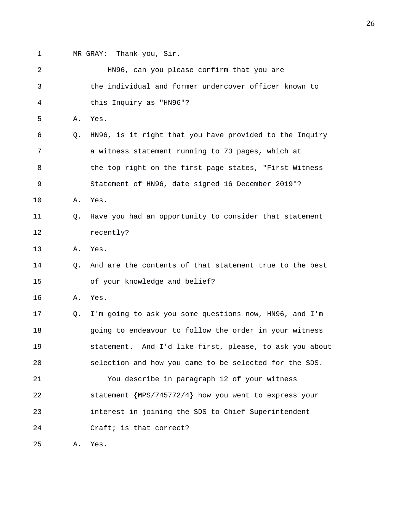1 MR GRAY: Thank you, Sir.

| 2  |                | HN96, can you please confirm that you are               |
|----|----------------|---------------------------------------------------------|
| 3  |                | the individual and former undercover officer known to   |
| 4  |                | this Inquiry as "HN96"?                                 |
| 5  | Α.             | Yes.                                                    |
| 6  | $\circ$ .      | HN96, is it right that you have provided to the Inquiry |
| 7  |                | a witness statement running to 73 pages, which at       |
| 8  |                | the top right on the first page states, "First Witness  |
| 9  |                | Statement of HN96, date signed 16 December 2019"?       |
| 10 | Α.             | Yes.                                                    |
| 11 | $\circ$ .      | Have you had an opportunity to consider that statement  |
| 12 |                | recently?                                               |
| 13 | Α.             | Yes.                                                    |
| 14 | $\circ$ .      | And are the contents of that statement true to the best |
| 15 |                | of your knowledge and belief?                           |
| 16 | Α.             | Yes.                                                    |
| 17 | Q <sub>z</sub> | I'm going to ask you some questions now, HN96, and I'm  |
| 18 |                | going to endeavour to follow the order in your witness  |
| 19 |                | statement. And I'd like first, please, to ask you about |
| 20 |                | selection and how you came to be selected for the SDS.  |
| 21 |                | You describe in paragraph 12 of your witness            |
| 22 |                | statement {MPS/745772/4} how you went to express your   |
| 23 |                | interest in joining the SDS to Chief Superintendent     |
| 24 |                | Craft; is that correct?                                 |
| 25 | Α.             | Yes.                                                    |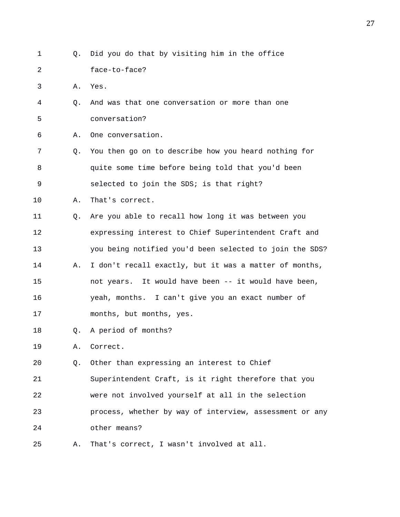| 1  | Q. | Did you do that by visiting him in the office           |
|----|----|---------------------------------------------------------|
| 2  |    | face-to-face?                                           |
| 3  | Α. | Yes.                                                    |
| 4  | Q. | And was that one conversation or more than one          |
| 5  |    | conversation?                                           |
| 6  | Α. | One conversation.                                       |
| 7  | Q. | You then go on to describe how you heard nothing for    |
| 8  |    | quite some time before being told that you'd been       |
| 9  |    | selected to join the SDS; is that right?                |
| 10 | Α. | That's correct.                                         |
| 11 | Q. | Are you able to recall how long it was between you      |
| 12 |    | expressing interest to Chief Superintendent Craft and   |
| 13 |    | you being notified you'd been selected to join the SDS? |
| 14 | Α. | I don't recall exactly, but it was a matter of months,  |
| 15 |    | not years. It would have been -- it would have been,    |
| 16 |    | yeah, months. I can't give you an exact number of       |
| 17 |    | months, but months, yes.                                |
| 18 | Q. | A period of months?                                     |
| 19 | Α. | Correct.                                                |
| 20 | Q. | Other than expressing an interest to Chief              |
| 21 |    | Superintendent Craft, is it right therefore that you    |
| 22 |    | were not involved yourself at all in the selection      |
| 23 |    | process, whether by way of interview, assessment or any |
| 24 |    | other means?                                            |
| 25 | Α. | That's correct, I wasn't involved at all.               |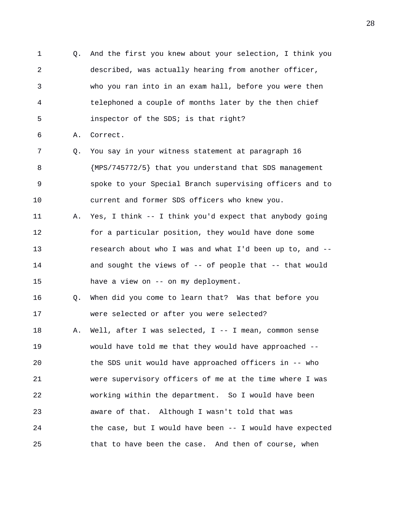1 Q. And the first you knew about your selection, I think you 2 described, was actually hearing from another officer, 3 who you ran into in an exam hall, before you were then 4 telephoned a couple of months later by the then chief 5 inspector of the SDS; is that right? 6 A. Correct. 7 Q. You say in your witness statement at paragraph 16 8 {MPS/745772/5} that you understand that SDS management 9 spoke to your Special Branch supervising officers and to 10 current and former SDS officers who knew you. 11 A. Yes, I think -- I think you'd expect that anybody going 12 for a particular position, they would have done some 13 research about who I was and what I'd been up to, and -- 14 and sought the views of -- of people that -- that would 15 have a view on -- on my deployment. 16 Q. When did you come to learn that? Was that before you 17 were selected or after you were selected? 18 A. Well, after I was selected, I -- I mean, common sense 19 would have told me that they would have approached -- 20 the SDS unit would have approached officers in -- who 21 were supervisory officers of me at the time where I was 22 working within the department. So I would have been 23 aware of that. Although I wasn't told that was 24 the case, but I would have been -- I would have expected 25 that to have been the case. And then of course, when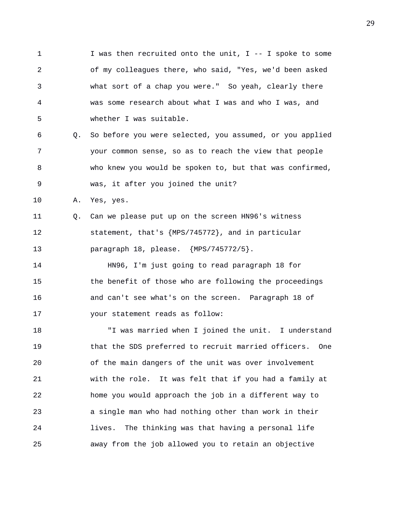1 I was then recruited onto the unit, I -- I spoke to some 2 of my colleagues there, who said, "Yes, we'd been asked 3 what sort of a chap you were." So yeah, clearly there 4 was some research about what I was and who I was, and 5 whether I was suitable.

6 Q. So before you were selected, you assumed, or you applied 7 your common sense, so as to reach the view that people 8 who knew you would be spoken to, but that was confirmed, 9 was, it after you joined the unit?

10 A. Yes, yes.

11 Q. Can we please put up on the screen HN96's witness 12 statement, that's {MPS/745772}, and in particular 13 paragraph 18, please. {MPS/745772/5}.

14 HN96, I'm just going to read paragraph 18 for 15 the benefit of those who are following the proceedings 16 and can't see what's on the screen. Paragraph 18 of 17 your statement reads as follow:

18 "I was married when I joined the unit. I understand 19 that the SDS preferred to recruit married officers. One 20 of the main dangers of the unit was over involvement 21 with the role. It was felt that if you had a family at 22 home you would approach the job in a different way to 23 a single man who had nothing other than work in their 24 lives. The thinking was that having a personal life 25 away from the job allowed you to retain an objective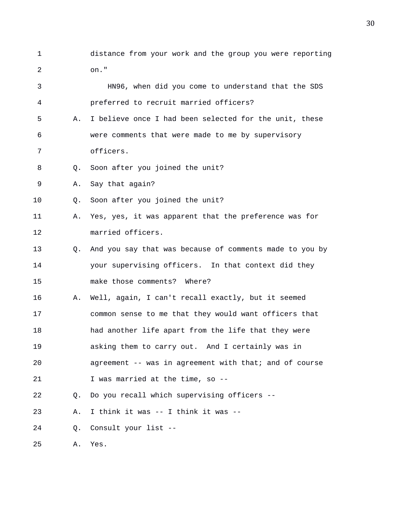1 distance from your work and the group you were reporting 2 on."

3 HN96, when did you come to understand that the SDS 4 preferred to recruit married officers? 5 A. I believe once I had been selected for the unit, these 6 were comments that were made to me by supervisory 7 officers. 8 Q. Soon after you joined the unit? 9 A. Say that again? 10 Q. Soon after you joined the unit? 11 A. Yes, yes, it was apparent that the preference was for 12 married officers. 13 Q. And you say that was because of comments made to you by 14 your supervising officers. In that context did they 15 make those comments? Where? 16 A. Well, again, I can't recall exactly, but it seemed 17 common sense to me that they would want officers that 18 had another life apart from the life that they were 19 asking them to carry out. And I certainly was in 20 agreement -- was in agreement with that; and of course 21 I was married at the time, so -- 22 Q. Do you recall which supervising officers -- 23 A. I think it was -- I think it was -- 24 Q. Consult your list -- 25 A. Yes.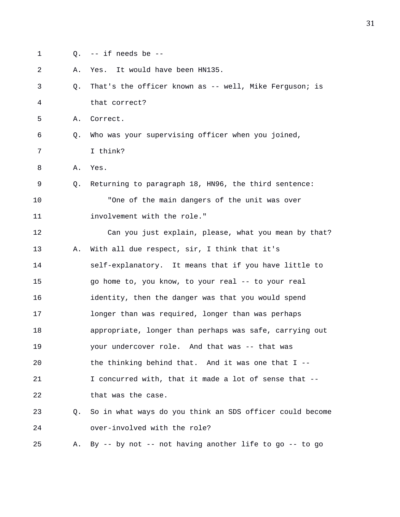- 
- 1 Q. -- if needs be --
- 2 A. Yes. It would have been HN135. 3 Q. That's the officer known as -- well, Mike Ferguson; is 4 that correct? 5 A. Correct. 6 Q. Who was your supervising officer when you joined, 7 I think? 8 A. Yes. 9 Q. Returning to paragraph 18, HN96, the third sentence: 10 "One of the main dangers of the unit was over 11 involvement with the role." 12 Can you just explain, please, what you mean by that? 13 A. With all due respect, sir, I think that it's 14 self-explanatory. It means that if you have little to 15 go home to, you know, to your real -- to your real 16 identity, then the danger was that you would spend 17 longer than was required, longer than was perhaps 18 appropriate, longer than perhaps was safe, carrying out 19 your undercover role. And that was -- that was 20 the thinking behind that. And it was one that I -- 21 I concurred with, that it made a lot of sense that -- 22 that was the case. 23 Q. So in what ways do you think an SDS officer could become 24 over-involved with the role? 25 A. By -- by not -- not having another life to go -- to go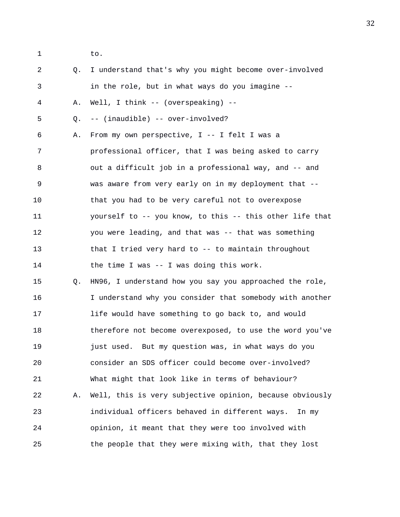1 to.

| 2  | $Q_{\star}$ | I understand that's why you might become over-involved   |
|----|-------------|----------------------------------------------------------|
| 3  |             | in the role, but in what ways do you imagine --          |
| 4  | Α.          | Well, I think -- (overspeaking) --                       |
| 5  | Q.          | -- (inaudible) -- over-involved?                         |
| 6  | Α.          | From my own perspective, I -- I felt I was a             |
| 7  |             | professional officer, that I was being asked to carry    |
| 8  |             | out a difficult job in a professional way, and -- and    |
| 9  |             | was aware from very early on in my deployment that --    |
| 10 |             | that you had to be very careful not to overexpose        |
| 11 |             | yourself to -- you know, to this -- this other life that |
| 12 |             | you were leading, and that was -- that was something     |
| 13 |             | that I tried very hard to -- to maintain throughout      |
| 14 |             | the time I was -- I was doing this work.                 |
| 15 | Q.          | HN96, I understand how you say you approached the role,  |
| 16 |             | I understand why you consider that somebody with another |
| 17 |             | life would have something to go back to, and would       |
| 18 |             | therefore not become overexposed, to use the word you've |
| 19 |             | just used. But my question was, in what ways do you      |
| 20 |             | consider an SDS officer could become over-involved?      |
| 21 |             | What might that look like in terms of behaviour?         |
| 22 | Α.          | Well, this is very subjective opinion, because obviously |
| 23 |             | individual officers behaved in different ways.<br>In my  |
| 24 |             | opinion, it meant that they were too involved with       |
| 25 |             | the people that they were mixing with, that they lost    |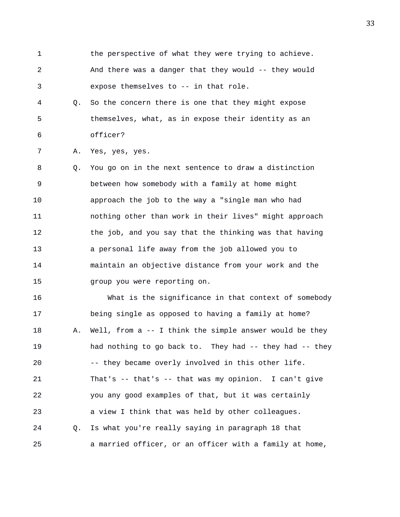- 1 the perspective of what they were trying to achieve. 2 And there was a danger that they would -- they would 3 expose themselves to -- in that role.
- 4 Q. So the concern there is one that they might expose 5 themselves, what, as in expose their identity as an 6 officer?

7 A. Yes, yes, yes.

8 Q. You go on in the next sentence to draw a distinction 9 between how somebody with a family at home might 10 approach the job to the way a "single man who had 11 nothing other than work in their lives" might approach 12 the job, and you say that the thinking was that having 13 a personal life away from the job allowed you to 14 maintain an objective distance from your work and the 15 group you were reporting on.

16 What is the significance in that context of somebody 17 being single as opposed to having a family at home? 18 A. Well, from a -- I think the simple answer would be they 19 had nothing to go back to. They had -- they had -- they 20 -- they became overly involved in this other life. 21 That's -- that's -- that was my opinion. I can't give 22 you any good examples of that, but it was certainly 23 a view I think that was held by other colleagues. 24 Q. Is what you're really saying in paragraph 18 that 25 a married officer, or an officer with a family at home,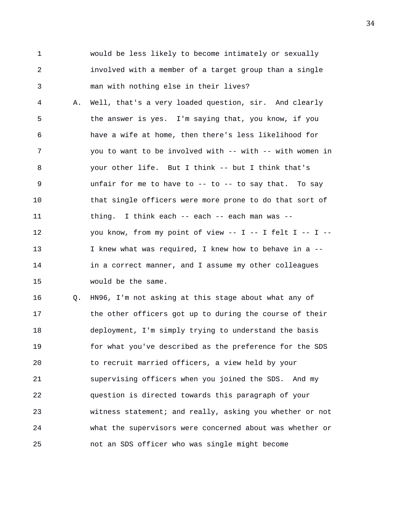1 would be less likely to become intimately or sexually 2 involved with a member of a target group than a single 3 man with nothing else in their lives?

4 A. Well, that's a very loaded question, sir. And clearly 5 the answer is yes. I'm saying that, you know, if you 6 have a wife at home, then there's less likelihood for 7 3 you to want to be involved with -- with -- with women in 8 your other life. But I think -- but I think that's 9 unfair for me to have to -- to -- to say that. To say 10 that single officers were more prone to do that sort of 11 thing. I think each -- each -- each man was -- 12 you know, from my point of view -- I -- I felt I -- I --13 I knew what was required, I knew how to behave in a -- 14 in a correct manner, and I assume my other colleagues 15 would be the same.

16 Q. HN96, I'm not asking at this stage about what any of 17 the other officers got up to during the course of their 18 deployment, I'm simply trying to understand the basis 19 for what you've described as the preference for the SDS 20 to recruit married officers, a view held by your 21 supervising officers when you joined the SDS. And my 22 question is directed towards this paragraph of your 23 witness statement; and really, asking you whether or not 24 what the supervisors were concerned about was whether or 25 not an SDS officer who was single might become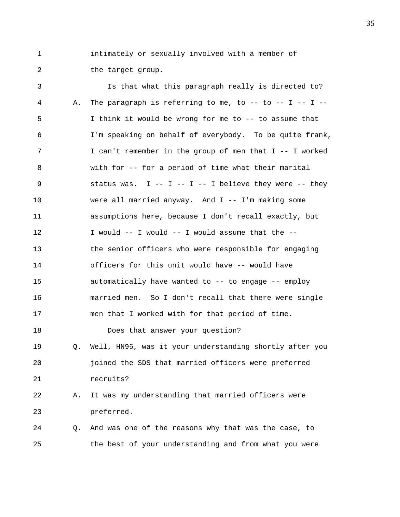1 intimately or sexually involved with a member of 2 the target group.

3 Is that what this paragraph really is directed to? 4 A. The paragraph is referring to me, to -- to -- I -- I -- 5 I think it would be wrong for me to -- to assume that 6 I'm speaking on behalf of everybody. To be quite frank, 7 I can't remember in the group of men that I -- I worked 8 with for -- for a period of time what their marital 9 status was. I -- I -- I -- I believe they were -- they 10 were all married anyway. And I -- I'm making some 11 assumptions here, because I don't recall exactly, but 12 I would -- I would -- I would assume that the -- 13 the senior officers who were responsible for engaging 14 officers for this unit would have -- would have 15 automatically have wanted to -- to engage -- employ 16 married men. So I don't recall that there were single 17 men that I worked with for that period of time. 18 Does that answer your question? 19 Q. Well, HN96, was it your understanding shortly after you 20 joined the SDS that married officers were preferred 21 recruits? 22 A. It was my understanding that married officers were 23 preferred. 24 Q. And was one of the reasons why that was the case, to 25 the best of your understanding and from what you were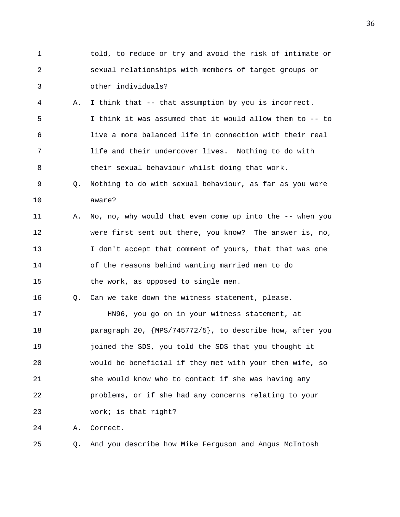1 told, to reduce or try and avoid the risk of intimate or 2 sexual relationships with members of target groups or 3 other individuals? 4 A. I think that -- that assumption by you is incorrect. 5 I think it was assumed that it would allow them to -- to 6 live a more balanced life in connection with their real 7 life and their undercover lives. Nothing to do with 8 their sexual behaviour whilst doing that work. 9 Q. Nothing to do with sexual behaviour, as far as you were 10 aware? 11 A. No, no, why would that even come up into the -- when you 12 were first sent out there, you know? The answer is, no, 13 I don't accept that comment of yours, that that was one 14 of the reasons behind wanting married men to do 15 the work, as opposed to single men. 16 Q. Can we take down the witness statement, please. 17 HN96, you go on in your witness statement, at 18 paragraph 20, {MPS/745772/5}, to describe how, after you 19 joined the SDS, you told the SDS that you thought it 20 would be beneficial if they met with your then wife, so 21 she would know who to contact if she was having any 22 problems, or if she had any concerns relating to your 23 work; is that right? 24 A. Correct. 25 Q. And you describe how Mike Ferguson and Angus McIntosh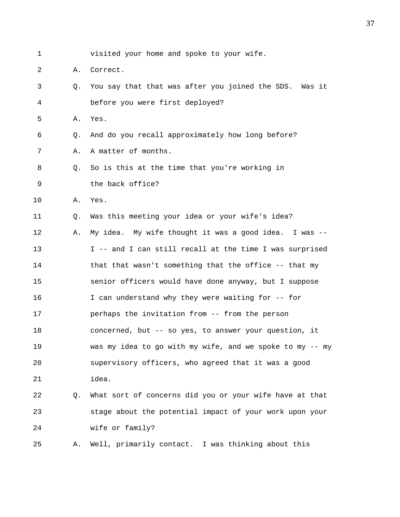1 visited your home and spoke to your wife.

2 A. Correct.

3 Q. You say that that was after you joined the SDS. Was it 4 before you were first deployed?

5 A. Yes.

6 Q. And do you recall approximately how long before?

7 A. A matter of months.

8 Q. So is this at the time that you're working in

9 the back office?

10 A. Yes.

11 Q. Was this meeting your idea or your wife's idea?

12 A. My idea. My wife thought it was a good idea. I was -- 13 I -- and I can still recall at the time I was surprised 14 that that wasn't something that the office -- that my 15 senior officers would have done anyway, but I suppose 16 I can understand why they were waiting for -- for 17 perhaps the invitation from -- from the person 18 concerned, but -- so yes, to answer your question, it 19 was my idea to go with my wife, and we spoke to my -- my 20 supervisory officers, who agreed that it was a good 21 idea.

## 22 Q. What sort of concerns did you or your wife have at that 23 stage about the potential impact of your work upon your 24 wife or family?

25 A. Well, primarily contact. I was thinking about this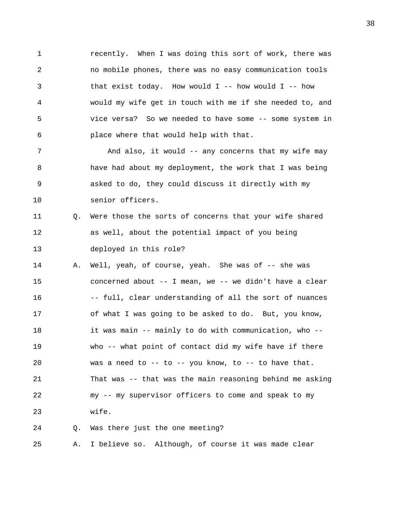1 recently. When I was doing this sort of work, there was 2 no mobile phones, there was no easy communication tools 3 that exist today. How would I -- how would I -- how 4 would my wife get in touch with me if she needed to, and 5 vice versa? So we needed to have some -- some system in 6 place where that would help with that.

7 And also, it would -- any concerns that my wife may 8 have had about my deployment, the work that I was being 9 asked to do, they could discuss it directly with my 10 senior officers.

## 11 Q. Were those the sorts of concerns that your wife shared 12 as well, about the potential impact of you being 13 deployed in this role?

14 A. Well, yeah, of course, yeah. She was of -- she was 15 concerned about -- I mean, we -- we didn't have a clear 16 -- full, clear understanding of all the sort of nuances 17 of what I was going to be asked to do. But, you know, 18 it was main -- mainly to do with communication, who -- 19 who -- what point of contact did my wife have if there 20 was a need to -- to -- you know, to -- to have that. 21 That was -- that was the main reasoning behind me asking 22 my -- my supervisor officers to come and speak to my 23 wife.

24 Q. Was there just the one meeting?

25 A. I believe so. Although, of course it was made clear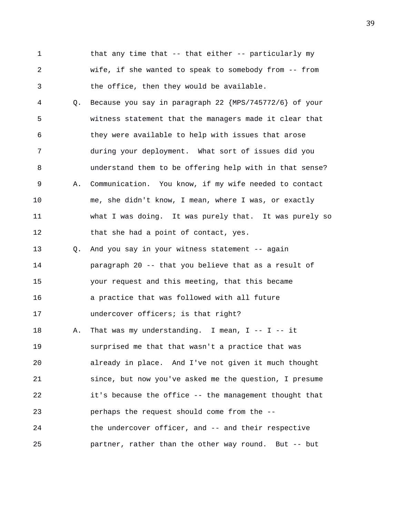1 that any time that -- that either -- particularly my 2 wife, if she wanted to speak to somebody from -- from 3 the office, then they would be available.

4 Q. Because you say in paragraph 22 {MPS/745772/6} of your 5 witness statement that the managers made it clear that 6 they were available to help with issues that arose 7 during your deployment. What sort of issues did you 8 understand them to be offering help with in that sense? 9 A. Communication. You know, if my wife needed to contact 10 me, she didn't know, I mean, where I was, or exactly 11 what I was doing. It was purely that. It was purely so 12 that she had a point of contact, yes.

13 Q. And you say in your witness statement -- again 14 paragraph 20 -- that you believe that as a result of 15 your request and this meeting, that this became 16 a practice that was followed with all future 17 undercover officers; is that right?

18 A. That was my understanding. I mean, I -- I -- it 19 surprised me that that wasn't a practice that was 20 already in place. And I've not given it much thought 21 since, but now you've asked me the question, I presume 22 it's because the office -- the management thought that 23 perhaps the request should come from the -- 24 the undercover officer, and -- and their respective 25 partner, rather than the other way round. But -- but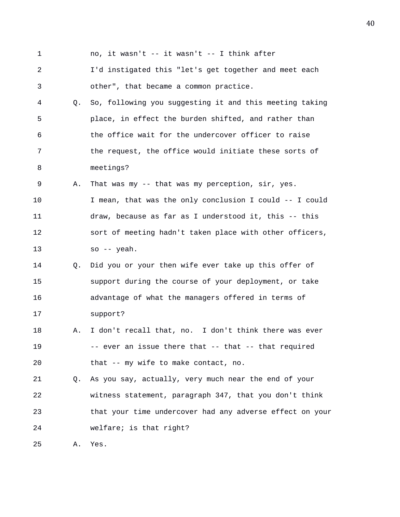1 no, it wasn't -- it wasn't -- I think after 2 I'd instigated this "let's get together and meet each 3 other", that became a common practice. 4 Q. So, following you suggesting it and this meeting taking 5 place, in effect the burden shifted, and rather than 6 the office wait for the undercover officer to raise 7 the request, the office would initiate these sorts of 8 meetings? 9 A. That was my -- that was my perception, sir, yes. 10 I mean, that was the only conclusion I could -- I could 11 draw, because as far as I understood it, this -- this 12 sort of meeting hadn't taken place with other officers, 13 so -- yeah. 14 Q. Did you or your then wife ever take up this offer of 15 support during the course of your deployment, or take 16 advantage of what the managers offered in terms of 17 support? 18 A. I don't recall that, no. I don't think there was ever 19 -- ever an issue there that -- that -- that required 20 that -- my wife to make contact, no. 21 Q. As you say, actually, very much near the end of your 22 witness statement, paragraph 347, that you don't think 23 that your time undercover had any adverse effect on your 24 welfare; is that right? 25 A. Yes.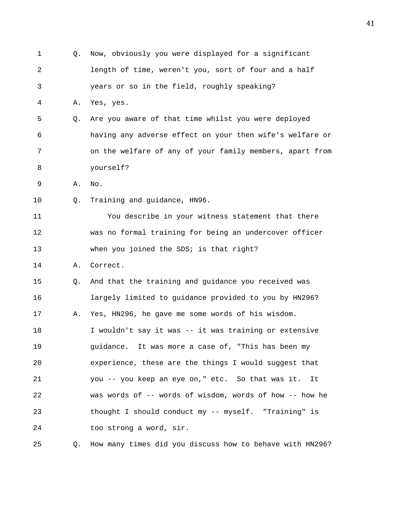| $\mathbf 1$ | Q. | Now, obviously you were displayed for a significant      |
|-------------|----|----------------------------------------------------------|
| 2           |    | length of time, weren't you, sort of four and a half     |
| 3           |    | years or so in the field, roughly speaking?              |
| 4           | Α. | Yes, yes.                                                |
| 5           | Q. | Are you aware of that time whilst you were deployed      |
| 6           |    | having any adverse effect on your then wife's welfare or |
| 7           |    | on the welfare of any of your family members, apart from |
| 8           |    | yourself?                                                |
| 9           | Α. | No.                                                      |
| 10          | Q. | Training and guidance, HN96.                             |
| 11          |    | You describe in your witness statement that there        |
| 12          |    | was no formal training for being an undercover officer   |
| 13          |    | when you joined the SDS; is that right?                  |
| 14          | Α. | Correct.                                                 |
| 15          | Q. | And that the training and guidance you received was      |
| 16          |    | largely limited to guidance provided to you by HN296?    |
| 17          | Α. | Yes, HN296, he gave me some words of his wisdom.         |
| 18          |    | I wouldn't say it was -- it was training or extensive    |
| 19          |    | guidance. It was more a case of, "This has been my       |
| 20          |    | experience, these are the things I would suggest that    |
| 21          |    | you -- you keep an eye on," etc. So that was it.<br>It   |
| 22          |    | was words of -- words of wisdom, words of how -- how he  |
| 23          |    | thought I should conduct my -- myself. "Training" is     |
| 24          |    | too strong a word, sir.                                  |
| 25          | Q. | How many times did you discuss how to behave with HN296? |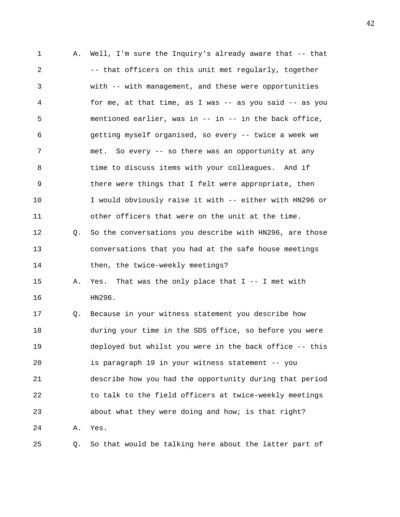1 A. Well, I'm sure the Inquiry's already aware that -- that 2 -- that officers on this unit met reqularly, together 3 with -- with management, and these were opportunities 4 for me, at that time, as I was -- as you said -- as you 5 mentioned earlier, was in -- in -- in the back office, 6 getting myself organised, so every -- twice a week we 7 met. So every -- so there was an opportunity at any 8 time to discuss items with your colleagues. And if 9 there were things that I felt were appropriate, then 10 I would obviously raise it with -- either with HN296 or 11 other officers that were on the unit at the time. 12 Q. So the conversations you describe with HN296, are those 13 conversations that you had at the safe house meetings 14 then, the twice-weekly meetings? 15 A. Yes. That was the only place that I -- I met with 16 HN296. 17 Q. Because in your witness statement you describe how 18 during your time in the SDS office, so before you were 19 deployed but whilst you were in the back office -- this 20 is paragraph 19 in your witness statement -- you 21 describe how you had the opportunity during that period 22 to talk to the field officers at twice-weekly meetings 23 about what they were doing and how; is that right? 24 A. Yes. 25 Q. So that would be talking here about the latter part of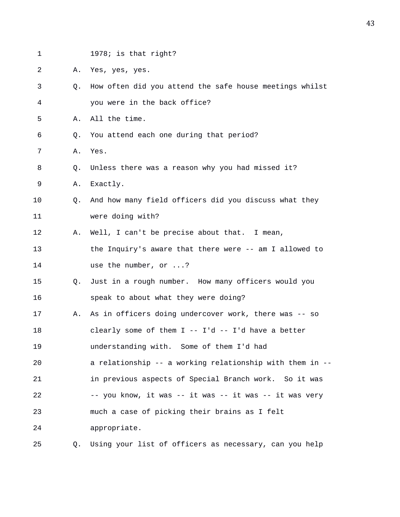| $\mathbf 1$ |    | 1978; is that right?                                     |
|-------------|----|----------------------------------------------------------|
| 2           | Α. | Yes, yes, yes.                                           |
| 3           | Q. | How often did you attend the safe house meetings whilst  |
| 4           |    | you were in the back office?                             |
| 5           | Α. | All the time.                                            |
| 6           | Q. | You attend each one during that period?                  |
| 7           | Α. | Yes.                                                     |
| 8           | Q. | Unless there was a reason why you had missed it?         |
| 9           | Α. | Exactly.                                                 |
| 10          | Q. | And how many field officers did you discuss what they    |
| 11          |    | were doing with?                                         |
| 12          | Α. | Well, I can't be precise about that. I mean,             |
| 13          |    | the Inquiry's aware that there were -- am I allowed to   |
| 14          |    | use the number, or ?                                     |
| 15          | Q. | Just in a rough number. How many officers would you      |
| 16          |    | speak to about what they were doing?                     |
| 17          | Α. | As in officers doing undercover work, there was -- so    |
| 18          |    | clearly some of them I -- I'd -- I'd have a better       |
| 19          |    | understanding with. Some of them I'd had                 |
| 20          |    | a relationship -- a working relationship with them in -- |
| 21          |    | in previous aspects of Special Branch work. So it was    |
| 22          |    | -- you know, it was -- it was -- it was -- it was very   |
| 23          |    | much a case of picking their brains as I felt            |
| 24          |    | appropriate.                                             |
| 25          | Q. | Using your list of officers as necessary, can you help   |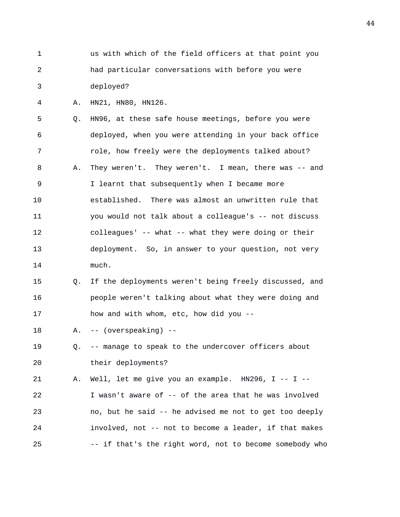- 1 us with which of the field officers at that point you 2 had particular conversations with before you were 3 deployed?
- 4 A. HN21, HN80, HN126.

5 Q. HN96, at these safe house meetings, before you were 6 deployed, when you were attending in your back office 7 role, how freely were the deployments talked about? 8 A. They weren't. They weren't. I mean, there was -- and 9 I learnt that subsequently when I became more 10 established. There was almost an unwritten rule that 11 you would not talk about a colleague's -- not discuss 12 colleagues' -- what -- what they were doing or their 13 deployment. So, in answer to your question, not very 14 much.

- 15 Q. If the deployments weren't being freely discussed, and 16 people weren't talking about what they were doing and 17 how and with whom, etc, how did you --
- 18 A. -- (overspeaking) --
- 19 Q. -- manage to speak to the undercover officers about 20 their deployments?

21 A. Well, let me give you an example. HN296, I -- I -- 22 I wasn't aware of -- of the area that he was involved 23 no, but he said -- he advised me not to get too deeply 24 involved, not -- not to become a leader, if that makes 25 -- if that's the right word, not to become somebody who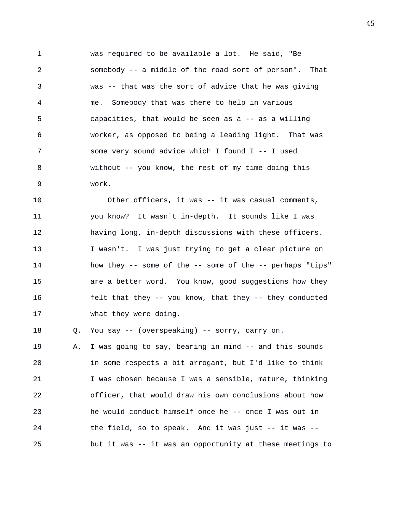1 was required to be available a lot. He said, "Be 2 somebody -- a middle of the road sort of person". That 3 was -- that was the sort of advice that he was giving 4 me. Somebody that was there to help in various 5 capacities, that would be seen as a -- as a willing 6 worker, as opposed to being a leading light. That was 7 some very sound advice which I found I -- I used 8 without -- you know, the rest of my time doing this 9 work.

10 Other officers, it was -- it was casual comments, 11 you know? It wasn't in-depth. It sounds like I was 12 having long, in-depth discussions with these officers. 13 I wasn't. I was just trying to get a clear picture on 14 how they -- some of the -- some of the -- perhaps "tips" 15 are a better word. You know, good suggestions how they 16 felt that they -- you know, that they -- they conducted 17 what they were doing.

18 Q. You say -- (overspeaking) -- sorry, carry on. 19 A. I was going to say, bearing in mind -- and this sounds 20 in some respects a bit arrogant, but I'd like to think 21 I was chosen because I was a sensible, mature, thinking 22 officer, that would draw his own conclusions about how 23 he would conduct himself once he -- once I was out in 24 the field, so to speak. And it was just -- it was -- 25 but it was -- it was an opportunity at these meetings to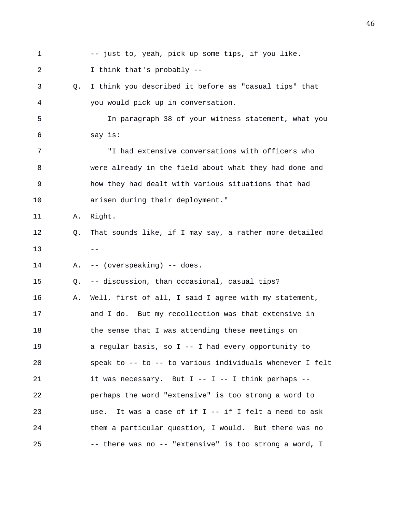1 -- just to, yeah, pick up some tips, if you like. 2 I think that's probably -- 3 Q. I think you described it before as "casual tips" that 4 you would pick up in conversation. 5 In paragraph 38 of your witness statement, what you 6 say is: 7 "I had extensive conversations with officers who 8 were already in the field about what they had done and 9 how they had dealt with various situations that had 10 arisen during their deployment." 11 A. Right. 12 Q. That sounds like, if I may say, a rather more detailed  $13$  --14 A. -- (overspeaking) -- does. 15 Q. -- discussion, than occasional, casual tips? 16 A. Well, first of all, I said I agree with my statement, 17 and I do. But my recollection was that extensive in 18 the sense that I was attending these meetings on 19 a regular basis, so I -- I had every opportunity to 20 speak to -- to -- to various individuals whenever I felt 21 it was necessary. But I -- I -- I think perhaps --22 perhaps the word "extensive" is too strong a word to 23 use. It was a case of if I -- if I felt a need to ask 24 them a particular question, I would. But there was no 25 -- there was no -- "extensive" is too strong a word, I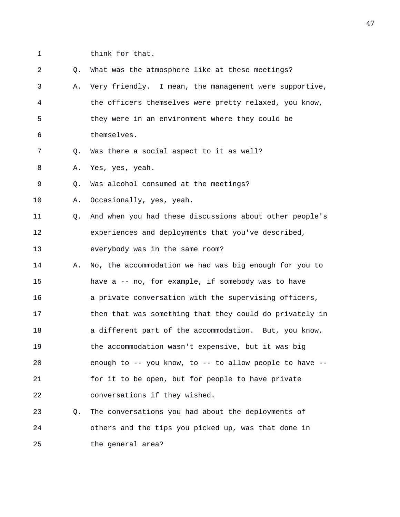1 think for that.

| 2  | Q. | What was the atmosphere like at these meetings?         |
|----|----|---------------------------------------------------------|
| 3  | Α. | Very friendly. I mean, the management were supportive,  |
| 4  |    | the officers themselves were pretty relaxed, you know,  |
| 5  |    | they were in an environment where they could be         |
| 6  |    | themselves.                                             |
| 7  | Q. | Was there a social aspect to it as well?                |
| 8  | Α. | Yes, yes, yeah.                                         |
| 9  | Q. | Was alcohol consumed at the meetings?                   |
| 10 | Α. | Occasionally, yes, yeah.                                |
| 11 | Q. | And when you had these discussions about other people's |
| 12 |    | experiences and deployments that you've described,      |
| 13 |    | everybody was in the same room?                         |
|    |    |                                                         |
| 14 | Α. | No, the accommodation we had was big enough for you to  |
| 15 |    | have a -- no, for example, if somebody was to have      |
| 16 |    | a private conversation with the supervising officers,   |
| 17 |    | then that was something that they could do privately in |
| 18 |    | a different part of the accommodation. But, you know,   |
| 19 |    | the accommodation wasn't expensive, but it was big      |
| 20 |    | enough to -- you know, to -- to allow people to have -- |
| 21 |    | for it to be open, but for people to have private       |
| 22 |    | conversations if they wished.                           |
| 23 | Q. | The conversations you had about the deployments of      |
| 24 |    | others and the tips you picked up, was that done in     |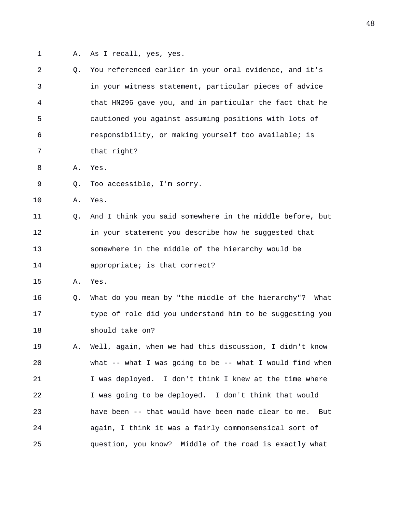- 
- 1 A. As I recall, yes, yes.

| $\overline{a}$ | Q. | You referenced earlier in your oral evidence, and it's     |
|----------------|----|------------------------------------------------------------|
| 3              |    | in your witness statement, particular pieces of advice     |
| 4              |    | that HN296 gave you, and in particular the fact that he    |
| 5              |    | cautioned you against assuming positions with lots of      |
| 6              |    | responsibility, or making yourself too available; is       |
| 7              |    | that right?                                                |
| 8              | Α. | Yes.                                                       |
| 9              | Q. | Too accessible, I'm sorry.                                 |
| 10             | Α. | Yes.                                                       |
| 11             | Q. | And I think you said somewhere in the middle before, but   |
| 12             |    | in your statement you describe how he suggested that       |
| 13             |    | somewhere in the middle of the hierarchy would be          |
| 14             |    | appropriate; is that correct?                              |
| 15             | Α. | Yes.                                                       |
| 16             | Q. | What do you mean by "the middle of the hierarchy"?<br>What |
| 17             |    | type of role did you understand him to be suggesting you   |
| 18             |    | should take on?                                            |
| 19             | Α. | Well, again, when we had this discussion, I didn't know    |
| 20             |    | what -- what I was going to be -- what I would find when   |
| 21             |    | I was deployed. I don't think I knew at the time where     |
| 22             |    | I was going to be deployed. I don't think that would       |
| 23             |    | have been -- that would have been made clear to me.<br>But |
|                |    |                                                            |
| 24             |    | again, I think it was a fairly commonsensical sort of      |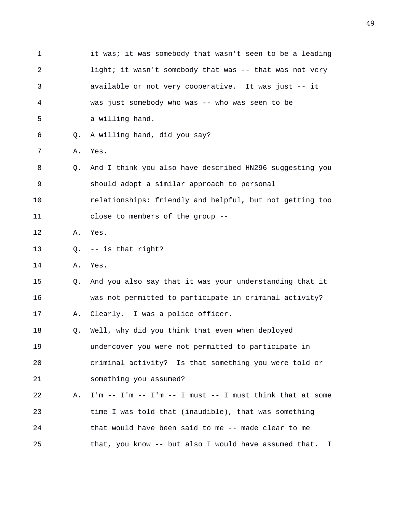| 1  |    | it was; it was somebody that wasn't seen to be a leading       |
|----|----|----------------------------------------------------------------|
| 2  |    | light; it wasn't somebody that was -- that was not very        |
| 3  |    | available or not very cooperative. It was just -- it           |
| 4  |    | was just somebody who was -- who was seen to be                |
| 5  |    | a willing hand.                                                |
| 6  | Q. | A willing hand, did you say?                                   |
| 7  | Α. | Yes.                                                           |
| 8  | Q. | And I think you also have described HN296 suggesting you       |
| 9  |    | should adopt a similar approach to personal                    |
| 10 |    | relationships: friendly and helpful, but not getting too       |
| 11 |    | close to members of the group --                               |
| 12 | Α. | Yes.                                                           |
| 13 | Q. | -- is that right?                                              |
| 14 | Α. | Yes.                                                           |
| 15 | Q. | And you also say that it was your understanding that it        |
| 16 |    | was not permitted to participate in criminal activity?         |
| 17 | Α. | Clearly. I was a police officer.                               |
| 18 | Q. | Well, why did you think that even when deployed                |
| 19 |    | undercover you were not permitted to participate in            |
| 20 |    | criminal activity? Is that something you were told or          |
| 21 |    | something you assumed?                                         |
| 22 | Α. | $I'm - - I'm - - I'm - - I must - - I must think that at some$ |
| 23 |    | time I was told that (inaudible), that was something           |
| 24 |    | that would have been said to me -- made clear to me            |
| 25 |    | that, you know -- but also I would have assumed that.<br>I.    |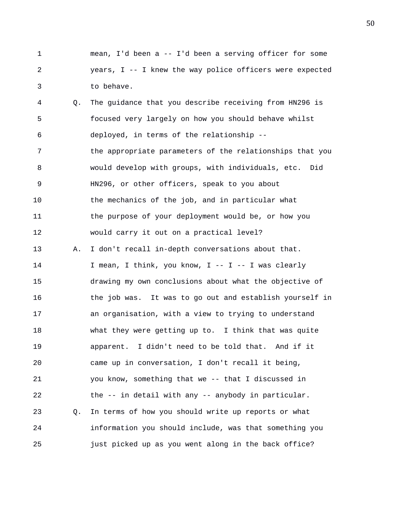1 mean, I'd been a -- I'd been a serving officer for some 2 years, I -- I knew the way police officers were expected 3 to behave.

4 Q. The guidance that you describe receiving from HN296 is 5 focused very largely on how you should behave whilst 6 deployed, in terms of the relationship -- 7 the appropriate parameters of the relationships that you 8 would develop with groups, with individuals, etc. Did 9 HN296, or other officers, speak to you about 10 the mechanics of the job, and in particular what 11 the purpose of your deployment would be, or how you 12 would carry it out on a practical level? 13 A. I don't recall in-depth conversations about that. 14 I mean, I think, you know, I -- I -- I was clearly 15 drawing my own conclusions about what the objective of 16 the job was. It was to go out and establish yourself in 17 an organisation, with a view to trying to understand 18 what they were getting up to. I think that was quite 19 apparent. I didn't need to be told that. And if it 20 came up in conversation, I don't recall it being, 21 you know, something that we -- that I discussed in 22 the -- in detail with any -- anybody in particular. 23 Q. In terms of how you should write up reports or what 24 information you should include, was that something you 25 just picked up as you went along in the back office?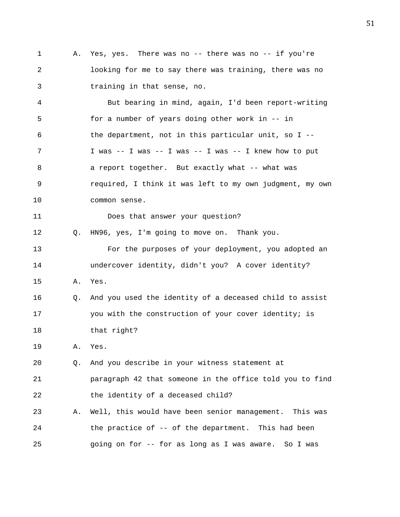1 A. Yes, yes. There was no -- there was no -- if you're 2 looking for me to say there was training, there was no 3 training in that sense, no.

4 But bearing in mind, again, I'd been report-writing 5 for a number of years doing other work in -- in 6 the department, not in this particular unit, so I -- 7 I was -- I was -- I was -- I was -- I knew how to put 8 a report together. But exactly what -- what was 9 required, I think it was left to my own judgment, my own 10 common sense.

11 Does that answer your question?

12 Q. HN96, yes, I'm going to move on. Thank you.

13 For the purposes of your deployment, you adopted an 14 undercover identity, didn't you? A cover identity?

- 15 A. Yes.
- 16 Q. And you used the identity of a deceased child to assist 17 you with the construction of your cover identity; is 18 that right?

19 A. Yes.

20 Q. And you describe in your witness statement at 21 paragraph 42 that someone in the office told you to find 22 the identity of a deceased child?

23 A. Well, this would have been senior management. This was 24 the practice of -- of the department. This had been 25 going on for -- for as long as I was aware. So I was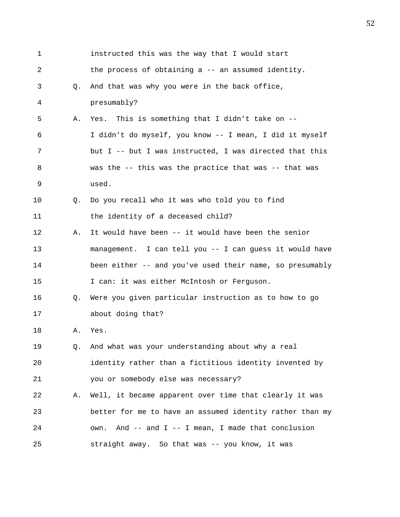| 1  |    | instructed this was the way that I would start           |
|----|----|----------------------------------------------------------|
| 2  |    | the process of obtaining a -- an assumed identity.       |
| 3  | Q. | And that was why you were in the back office,            |
| 4  |    | presumably?                                              |
| 5  | Α. | Yes. This is something that I didn't take on --          |
| 6  |    | I didn't do myself, you know -- I mean, I did it myself  |
| 7  |    | but I -- but I was instructed, I was directed that this  |
| 8  |    | was the -- this was the practice that was -- that was    |
| 9  |    | used.                                                    |
| 10 | Q. | Do you recall who it was who told you to find            |
| 11 |    | the identity of a deceased child?                        |
| 12 | Α. | It would have been -- it would have been the senior      |
| 13 |    | management. I can tell you -- I can guess it would have  |
| 14 |    | been either -- and you've used their name, so presumably |
| 15 |    | I can: it was either McIntosh or Ferguson.               |
| 16 | Q. | Were you given particular instruction as to how to go    |
| 17 |    | about doing that?                                        |
| 18 | Α. | Yes.                                                     |
| 19 | 0. | And what was your understanding about why a real         |
| 20 |    | identity rather than a fictitious identity invented by   |
| 21 |    | you or somebody else was necessary?                      |
| 22 | Α. | Well, it became apparent over time that clearly it was   |
| 23 |    | better for me to have an assumed identity rather than my |
| 24 |    | own. And -- and I -- I mean, I made that conclusion      |
| 25 |    | straight away. So that was -- you know, it was           |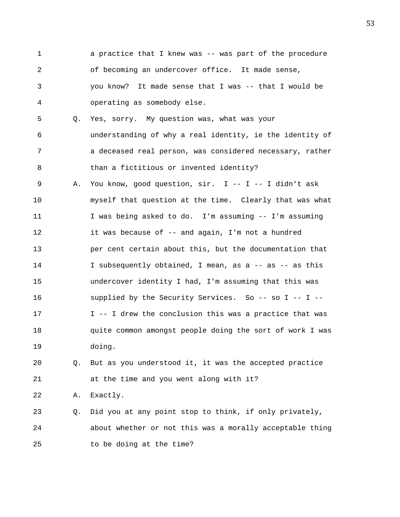1 a practice that I knew was -- was part of the procedure 2 of becoming an undercover office. It made sense, 3 you know? It made sense that I was -- that I would be 4 operating as somebody else. 5 Q. Yes, sorry. My question was, what was your 6 understanding of why a real identity, ie the identity of 7 a deceased real person, was considered necessary, rather 8 than a fictitious or invented identity? 9 A. You know, good question, sir. I -- I -- I didn't ask 10 myself that question at the time. Clearly that was what 11 I was being asked to do. I'm assuming -- I'm assuming 12 it was because of -- and again, I'm not a hundred 13 per cent certain about this, but the documentation that 14 I subsequently obtained, I mean, as a -- as -- as this 15 undercover identity I had, I'm assuming that this was 16 supplied by the Security Services. So -- so I -- I -- 17 I -- I drew the conclusion this was a practice that was 18 quite common amongst people doing the sort of work I was 19 doing.

20 Q. But as you understood it, it was the accepted practice 21 at the time and you went along with it?

22 A. Exactly.

23 Q. Did you at any point stop to think, if only privately, 24 about whether or not this was a morally acceptable thing 25 to be doing at the time?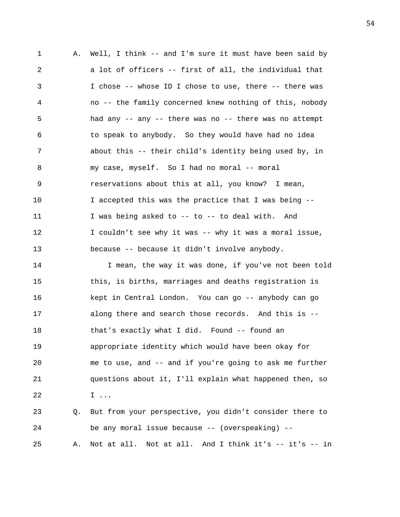1 A. Well, I think -- and I'm sure it must have been said by 2 a lot of officers -- first of all, the individual that 3 I chose -- whose ID I chose to use, there -- there was 4 no -- the family concerned knew nothing of this, nobody 5 had any -- any -- there was no -- there was no attempt 6 to speak to anybody. So they would have had no idea 7 about this -- their child's identity being used by, in 8 my case, myself. So I had no moral -- moral 9 reservations about this at all, you know? I mean, 10 I accepted this was the practice that I was being -- 11 I was being asked to -- to -- to deal with. And 12 I couldn't see why it was -- why it was a moral issue, 13 because -- because it didn't involve anybody. 14 I mean, the way it was done, if you've not been told 15 this, is births, marriages and deaths registration is 16 kept in Central London. You can go -- anybody can go 17 along there and search those records. And this is -- 18 that's exactly what I did. Found -- found an 19 appropriate identity which would have been okay for 20 me to use, and -- and if you're going to ask me further 21 questions about it, I'll explain what happened then, so 22 I ... 23 Q. But from your perspective, you didn't consider there to 24 be any moral issue because -- (overspeaking) -- 25 A. Not at all. Not at all. And I think it's -- it's -- in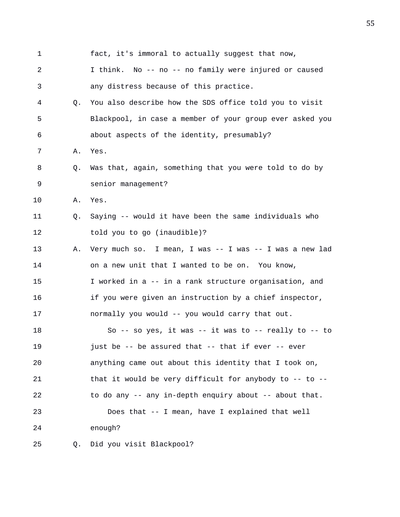| 1              |    | fact, it's immoral to actually suggest that now,          |
|----------------|----|-----------------------------------------------------------|
| $\overline{a}$ |    | I think. No -- no -- no family were injured or caused     |
| 3              |    | any distress because of this practice.                    |
| 4              | О. | You also describe how the SDS office told you to visit    |
| 5              |    | Blackpool, in case a member of your group ever asked you  |
| 6              |    | about aspects of the identity, presumably?                |
| 7              | Α. | Yes.                                                      |
| 8              | Q. | Was that, again, something that you were told to do by    |
| 9              |    | senior management?                                        |
| 10             | Α. | Yes.                                                      |
| 11             | Q. | Saying -- would it have been the same individuals who     |
| 12             |    | told you to go (inaudible)?                               |
| 13             | Α. | Very much so. I mean, I was -- I was -- I was a new lad   |
| 14             |    | on a new unit that I wanted to be on. You know,           |
| 15             |    | I worked in a -- in a rank structure organisation, and    |
| 16             |    | if you were given an instruction by a chief inspector,    |
| 17             |    | normally you would -- you would carry that out.           |
| 18             |    | So -- so yes, it was -- it was to -- really to -- to      |
| 19             |    | just be -- be assured that -- that if ever -- ever        |
| 20             |    | anything came out about this identity that I took on,     |
| 21             |    | that it would be very difficult for anybody to $-$ to $-$ |
| 22             |    | to do any -- any in-depth enquiry about -- about that.    |
| 23             |    | Does that -- I mean, have I explained that well           |
| 24             |    | enough?                                                   |
| 25             | Q. | Did you visit Blackpool?                                  |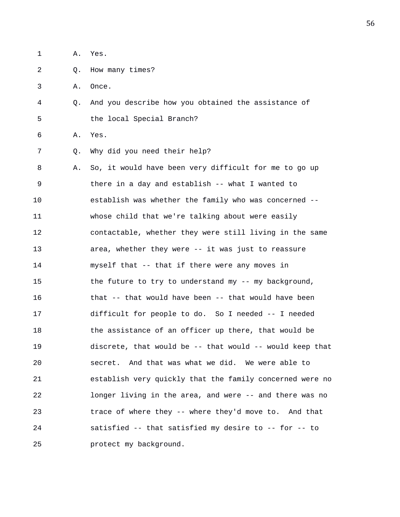| 1  | Α. | Yes.                                                     |
|----|----|----------------------------------------------------------|
| 2  | Q. | How many times?                                          |
| 3  | Α. | Once.                                                    |
| 4  | O. | And you describe how you obtained the assistance of      |
| 5  |    | the local Special Branch?                                |
| 6  | Α. | Yes.                                                     |
| 7  | Q. | Why did you need their help?                             |
| 8  | Α. | So, it would have been very difficult for me to go up    |
| 9  |    | there in a day and establish -- what I wanted to         |
| 10 |    | establish was whether the family who was concerned --    |
| 11 |    | whose child that we're talking about were easily         |
| 12 |    | contactable, whether they were still living in the same  |
| 13 |    | area, whether they were -- it was just to reassure       |
| 14 |    | myself that -- that if there were any moves in           |
| 15 |    | the future to try to understand my -- my background,     |
| 16 |    | that -- that would have been -- that would have been     |
| 17 |    | difficult for people to do. So I needed -- I needed      |
| 18 |    | the assistance of an officer up there, that would be     |
| 19 |    | discrete, that would be -- that would -- would keep that |
| 20 |    | And that was what we did. We were able to<br>secret.     |
| 21 |    | establish very quickly that the family concerned were no |
| 22 |    | longer living in the area, and were -- and there was no  |
| 23 |    | trace of where they -- where they'd move to. And that    |
| 24 |    | satisfied -- that satisfied my desire to -- for -- to    |
| 25 |    | protect my background.                                   |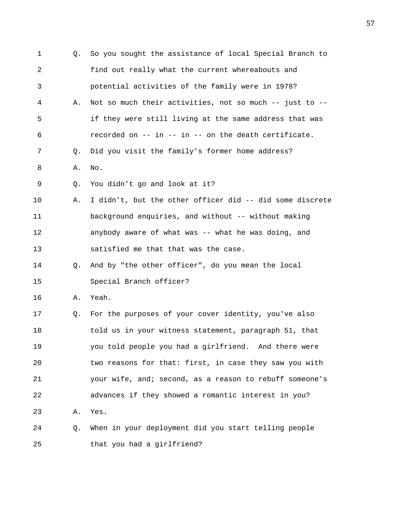| 1  | 0. | So you sought the assistance of local Special Branch to  |
|----|----|----------------------------------------------------------|
| 2  |    | find out really what the current whereabouts and         |
| 3  |    | potential activities of the family were in 1978?         |
| 4  | Α. | Not so much their activities, not so much -- just to --  |
| 5  |    | if they were still living at the same address that was   |
| 6  |    | recorded on -- in -- in -- on the death certificate.     |
| 7  | Q. | Did you visit the family's former home address?          |
| 8  | Α. | No.                                                      |
| 9  | Q. | You didn't go and look at it?                            |
| 10 | Α. | I didn't, but the other officer did -- did some discrete |
| 11 |    | background enquiries, and without -- without making      |
| 12 |    | anybody aware of what was -- what he was doing, and      |
| 13 |    | satisfied me that that was the case.                     |
| 14 | O. | And by "the other officer", do you mean the local        |
| 15 |    | Special Branch officer?                                  |
| 16 | Α. | Yeah.                                                    |
| 17 | Q. | For the purposes of your cover identity, you've also     |
| 18 |    | told us in your witness statement, paragraph 51, that    |
| 19 |    | you told people you had a girlfriend. And there were     |
| 20 |    | two reasons for that: first, in case they saw you with   |
| 21 |    | your wife, and; second, as a reason to rebuff someone's  |
| 22 |    | advances if they showed a romantic interest in you?      |
| 23 | Α. | Yes.                                                     |
| 24 | Q. | When in your deployment did you start telling people     |
| 25 |    | that you had a girlfriend?                               |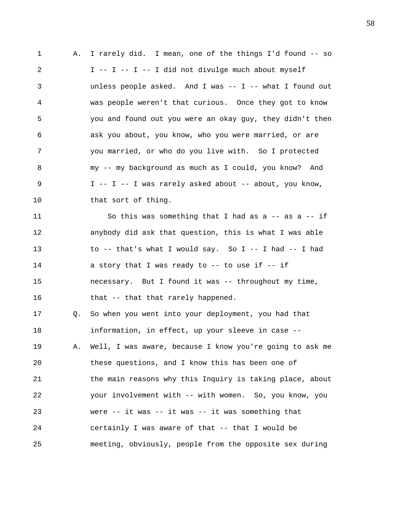1 A. I rarely did. I mean, one of the things I'd found -- so 2 I -- I -- I -- I did not divulge much about myself 3 unless people asked. And I was -- I -- what I found out 4 was people weren't that curious. Once they got to know 5 you and found out you were an okay guy, they didn't then 6 ask you about, you know, who you were married, or are 7 you married, or who do you live with. So I protected 8 my -- my background as much as I could, you know? And 9 I -- I -- I was rarely asked about -- about, you know, 10 that sort of thing. 11 So this was something that I had as a -- as a -- if 12 anybody did ask that question, this is what I was able 13 to -- that's what I would say. So I -- I had -- I had 14 a story that I was ready to -- to use if -- if 15 necessary. But I found it was -- throughout my time, 16 that -- that that rarely happened. 17 Q. So when you went into your deployment, you had that 18 information, in effect, up your sleeve in case -- 19 A. Well, I was aware, because I know you're going to ask me

20 these questions, and I know this has been one of 21 the main reasons why this Inquiry is taking place, about 22 your involvement with -- with women. So, you know, you 23 were -- it was -- it was -- it was something that 24 certainly I was aware of that -- that I would be 25 meeting, obviously, people from the opposite sex during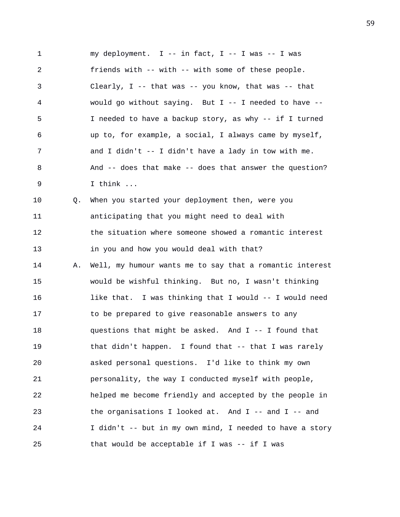1 my deployment. I -- in fact, I -- I was -- I was 2 friends with -- with -- with some of these people. 3 Clearly, I -- that was -- you know, that was -- that 4 would go without saying. But I -- I needed to have -- 5 I needed to have a backup story, as why -- if I turned 6 up to, for example, a social, I always came by myself, 7 and I didn't -- I didn't have a lady in tow with me. 8 And -- does that make -- does that answer the question? 9 I think ... 10 Q. When you started your deployment then, were you 11 anticipating that you might need to deal with 12 the situation where someone showed a romantic interest 13 in you and how you would deal with that? 14 A. Well, my humour wants me to say that a romantic interest 15 would be wishful thinking. But no, I wasn't thinking 16 like that. I was thinking that I would -- I would need 17 to be prepared to give reasonable answers to any 18 questions that might be asked. And I -- I found that 19 that didn't happen. I found that -- that I was rarely 20 asked personal questions. I'd like to think my own 21 personality, the way I conducted myself with people, 22 helped me become friendly and accepted by the people in 23 the organisations I looked at. And I -- and I -- and 24 I didn't -- but in my own mind, I needed to have a story 25 that would be acceptable if I was -- if I was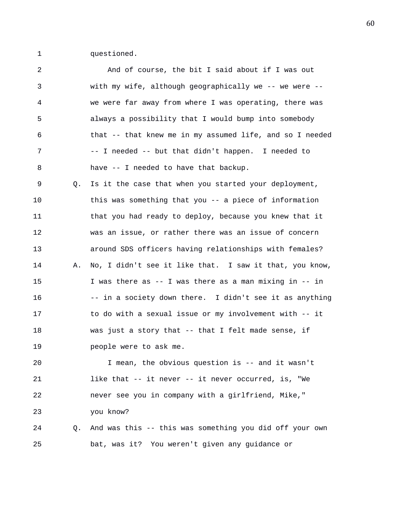1 questioned.

| 2  |    | And of course, the bit I said about if I was out         |
|----|----|----------------------------------------------------------|
| 3  |    | with my wife, although geographically we -- we were --   |
| 4  |    | we were far away from where I was operating, there was   |
| 5  |    | always a possibility that I would bump into somebody     |
| 6  |    | that -- that knew me in my assumed life, and so I needed |
| 7  |    | -- I needed -- but that didn't happen. I needed to       |
| 8  |    | have -- I needed to have that backup.                    |
| 9  | Q. | Is it the case that when you started your deployment,    |
| 10 |    | this was something that you -- a piece of information    |
| 11 |    | that you had ready to deploy, because you knew that it   |
| 12 |    | was an issue, or rather there was an issue of concern    |
| 13 |    | around SDS officers having relationships with females?   |
| 14 | Α. | No, I didn't see it like that. I saw it that, you know,  |
| 15 |    | I was there as -- I was there as a man mixing in -- in   |
| 16 |    | -- in a society down there. I didn't see it as anything  |
| 17 |    | to do with a sexual issue or my involvement with -- it   |
| 18 |    | was just a story that -- that I felt made sense, if      |
| 19 |    | people were to ask me.                                   |
| 20 |    | I mean, the obvious question is -- and it wasn't         |
| 21 |    | like that -- it never -- it never occurred, is, "We      |
| 22 |    | never see you in company with a girlfriend, Mike,"       |
| 23 |    | you know?                                                |
| 24 | Q. | And was this -- this was something you did off your own  |
| 25 |    | bat, was it? You weren't given any guidance or           |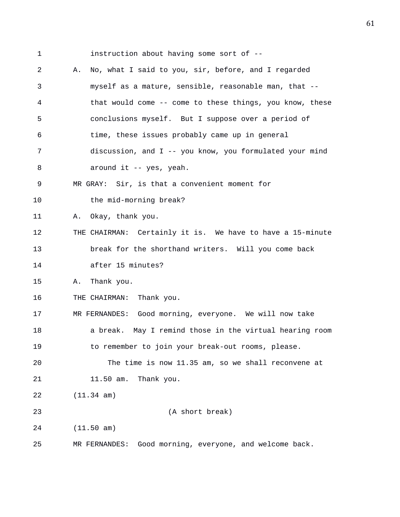1 instruction about having some sort of -- 2 A. No, what I said to you, sir, before, and I regarded 3 myself as a mature, sensible, reasonable man, that -- 4 that would come -- come to these things, you know, these 5 conclusions myself. But I suppose over a period of 6 time, these issues probably came up in general 7 discussion, and I -- you know, you formulated your mind 8 around it -- yes, yeah. 9 MR GRAY: Sir, is that a convenient moment for 10 the mid-morning break? 11 A. Okay, thank you. 12 THE CHAIRMAN: Certainly it is. We have to have a 15-minute 13 break for the shorthand writers. Will you come back 14 after 15 minutes? 15 A. Thank you. 16 THE CHAIRMAN: Thank you. 17 MR FERNANDES: Good morning, everyone. We will now take 18 a break. May I remind those in the virtual hearing room 19 to remember to join your break-out rooms, please. 20 The time is now 11.35 am, so we shall reconvene at 21 11.50 am. Thank you. 22 (11.34 am) 23 (A short break) 24 (11.50 am) 25 MR FERNANDES: Good morning, everyone, and welcome back.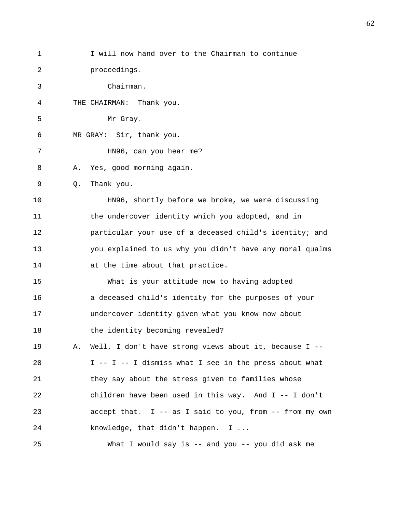| 1  | I will now hand over to the Chairman to continue             |
|----|--------------------------------------------------------------|
| 2  | proceedings.                                                 |
| 3  | Chairman.                                                    |
| 4  | THE CHAIRMAN: Thank you.                                     |
| 5  | Mr Gray.                                                     |
| 6  | MR GRAY: Sir, thank you.                                     |
| 7  | HN96, can you hear me?                                       |
| 8  | Yes, good morning again.<br>Α.                               |
| 9  | Thank you.<br>Q.                                             |
| 10 | HN96, shortly before we broke, we were discussing            |
| 11 | the undercover identity which you adopted, and in            |
| 12 | particular your use of a deceased child's identity; and      |
| 13 | you explained to us why you didn't have any moral qualms     |
| 14 | at the time about that practice.                             |
| 15 | What is your attitude now to having adopted                  |
| 16 | a deceased child's identity for the purposes of your         |
| 17 | undercover identity given what you know now about            |
| 18 | the identity becoming revealed?                              |
| 19 | Well, I don't have strong views about it, because I --<br>Α. |
| 20 | I -- I -- I dismiss what I see in the press about what       |
| 21 | they say about the stress given to families whose            |
| 22 | children have been used in this way. And $I$ -- I don't      |
| 23 | accept that. I -- as I said to you, from -- from my own      |
| 24 | knowledge, that didn't happen. I                             |
| 25 | What I would say is $-$ and you $-$ you did ask me           |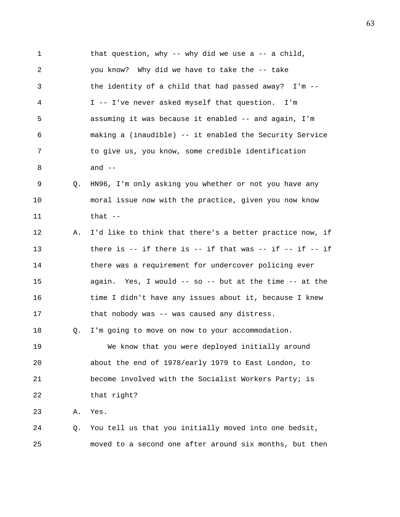1 that question, why -- why did we use a -- a child, 2 you know? Why did we have to take the -- take 3 the identity of a child that had passed away? I'm -- 4 I -- I've never asked myself that question. I'm 5 assuming it was because it enabled -- and again, I'm 6 making a (inaudible) -- it enabled the Security Service 7 to give us, you know, some credible identification 8 and -- 9 Q. HN96, I'm only asking you whether or not you have any 10 moral issue now with the practice, given you now know  $11$  that  $-$ 12 A. I'd like to think that there's a better practice now, if 13 there is -- if there is -- if that was -- if -- if -- if 14 there was a requirement for undercover policing ever 15 again. Yes, I would -- so -- but at the time -- at the 16 time I didn't have any issues about it, because I knew 17 that nobody was -- was caused any distress. 18 Q. I'm going to move on now to your accommodation. 19 We know that you were deployed initially around 20 about the end of 1978/early 1979 to East London, to 21 become involved with the Socialist Workers Party; is 22 that right? 23 A. Yes. 24 Q. You tell us that you initially moved into one bedsit, 25 moved to a second one after around six months, but then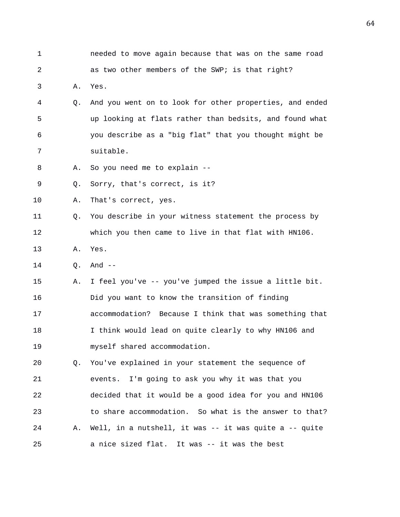| 1  |    | needed to move again because that was on the same road  |
|----|----|---------------------------------------------------------|
| 2  |    | as two other members of the SWP; is that right?         |
| 3  | Α. | Yes.                                                    |
| 4  | Q. | And you went on to look for other properties, and ended |
| 5  |    | up looking at flats rather than bedsits, and found what |
| 6  |    | you describe as a "big flat" that you thought might be  |
| 7  |    | suitable.                                               |
| 8  | Α. | So you need me to explain --                            |
| 9  | Q. | Sorry, that's correct, is it?                           |
| 10 | Α. | That's correct, yes.                                    |
| 11 | Q. | You describe in your witness statement the process by   |
| 12 |    | which you then came to live in that flat with HN106.    |
| 13 | Α. | Yes.                                                    |
| 14 | Q. | And $--$                                                |
| 15 | Α. | I feel you've -- you've jumped the issue a little bit.  |
| 16 |    | Did you want to know the transition of finding          |
| 17 |    | accommodation? Because I think that was something that  |
| 18 |    | I think would lead on quite clearly to why HN106 and    |
| 19 |    | myself shared accommodation.                            |
| 20 | Q. | You've explained in your statement the sequence of      |
| 21 |    | events. I'm going to ask you why it was that you        |
| 22 |    | decided that it would be a good idea for you and HN106  |
| 23 |    | to share accommodation. So what is the answer to that?  |
| 24 | Α. | Well, in a nutshell, it was -- it was quite a -- quite  |
| 25 |    | a nice sized flat. It was -- it was the best            |
|    |    |                                                         |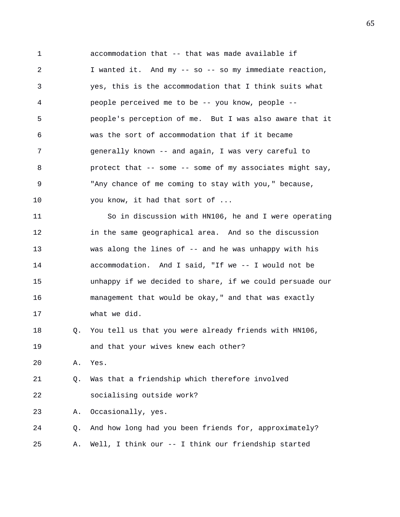1 accommodation that -- that was made available if 2 I wanted it. And my -- so -- so my immediate reaction, 3 yes, this is the accommodation that I think suits what 4 people perceived me to be -- you know, people -- 5 people's perception of me. But I was also aware that it 6 was the sort of accommodation that if it became 7 generally known -- and again, I was very careful to 8 protect that -- some -- some of my associates might say, 9 "Any chance of me coming to stay with you," because, 10 you know, it had that sort of ... 11 So in discussion with HN106, he and I were operating 12 in the same geographical area. And so the discussion

14 accommodation. And I said, "If we -- I would not be 15 unhappy if we decided to share, if we could persuade our 16 management that would be okay," and that was exactly 17 what we did.

13 was along the lines of -- and he was unhappy with his

18 Q. You tell us that you were already friends with HN106, 19 and that your wives knew each other?

20 A. Yes.

21 Q. Was that a friendship which therefore involved 22 socialising outside work?

23 A. Occasionally, yes.

24 Q. And how long had you been friends for, approximately? 25 A. Well, I think our -- I think our friendship started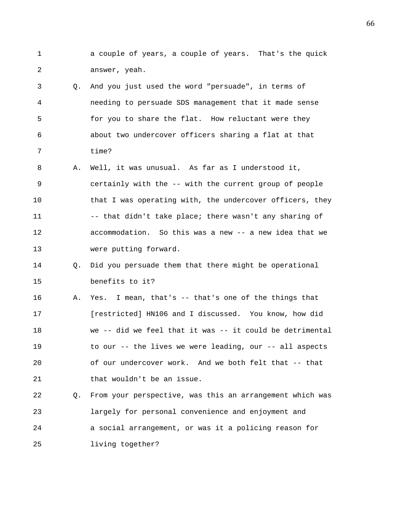- 1 a couple of years, a couple of years. That's the quick 2 answer, yeah.
- 3 Q. And you just used the word "persuade", in terms of 4 needing to persuade SDS management that it made sense 5 for you to share the flat. How reluctant were they 6 about two undercover officers sharing a flat at that 7 time?
- 8 A. Well, it was unusual. As far as I understood it, 9 certainly with the -- with the current group of people 10 that I was operating with, the undercover officers, they 11 -- that didn't take place; there wasn't any sharing of 12 accommodation. So this was a new -- a new idea that we 13 were putting forward.
- 14 Q. Did you persuade them that there might be operational 15 benefits to it?
- 16 A. Yes. I mean, that's -- that's one of the things that 17 [restricted] HN106 and I discussed. You know, how did 18 we -- did we feel that it was -- it could be detrimental 19 to our -- the lives we were leading, our -- all aspects 20 of our undercover work. And we both felt that -- that 21 that wouldn't be an issue.
- 22 Q. From your perspective, was this an arrangement which was 23 largely for personal convenience and enjoyment and 24 a social arrangement, or was it a policing reason for 25 living together?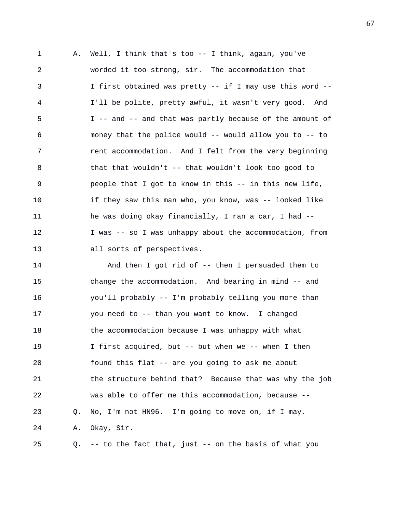1 A. Well, I think that's too -- I think, again, you've 2 worded it too strong, sir. The accommodation that 3 I first obtained was pretty -- if I may use this word -- 4 I'll be polite, pretty awful, it wasn't very good. And 5 I -- and -- and that was partly because of the amount of 6 money that the police would -- would allow you to -- to 7 rent accommodation. And I felt from the very beginning 8 that that wouldn't -- that wouldn't look too good to 9 people that I got to know in this -- in this new life, 10 if they saw this man who, you know, was -- looked like 11 he was doing okay financially, I ran a car, I had -- 12 I was -- so I was unhappy about the accommodation, from 13 all sorts of perspectives.

14 And then I got rid of -- then I persuaded them to 15 change the accommodation. And bearing in mind -- and 16 you'll probably -- I'm probably telling you more than 17 you need to -- than you want to know. I changed 18 the accommodation because I was unhappy with what 19 I first acquired, but -- but when we -- when I then 20 found this flat -- are you going to ask me about 21 the structure behind that? Because that was why the job 22 was able to offer me this accommodation, because -- 23 Q. No, I'm not HN96. I'm going to move on, if I may. 24 A. Okay, Sir. 25 Q. -- to the fact that, just -- on the basis of what you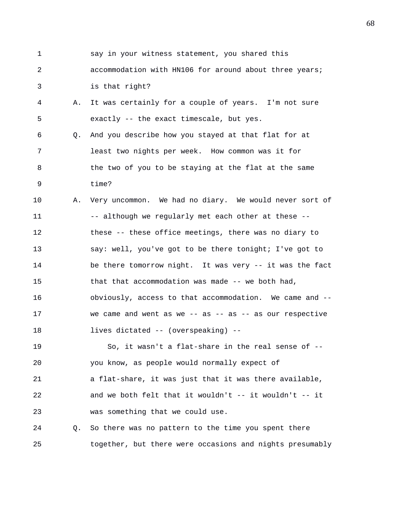1 say in your witness statement, you shared this 2 accommodation with HN106 for around about three years; 3 is that right? 4 A. It was certainly for a couple of years. I'm not sure 5 exactly -- the exact timescale, but yes. 6 Q. And you describe how you stayed at that flat for at 7 least two nights per week. How common was it for 8 the two of you to be staying at the flat at the same 9 time? 10 A. Very uncommon. We had no diary. We would never sort of 11 -- although we regularly met each other at these --12 these -- these office meetings, there was no diary to 13 say: well, you've got to be there tonight; I've got to 14 be there tomorrow night. It was very -- it was the fact 15 that that accommodation was made -- we both had, 16 obviously, access to that accommodation. We came and -- 17 we came and went as we -- as -- as -- as our respective 18 lives dictated -- (overspeaking) -- 19 So, it wasn't a flat-share in the real sense of -- 20 you know, as people would normally expect of 21 a flat-share, it was just that it was there available, 22 and we both felt that it wouldn't -- it wouldn't -- it 23 was something that we could use. 24 Q. So there was no pattern to the time you spent there 25 together, but there were occasions and nights presumably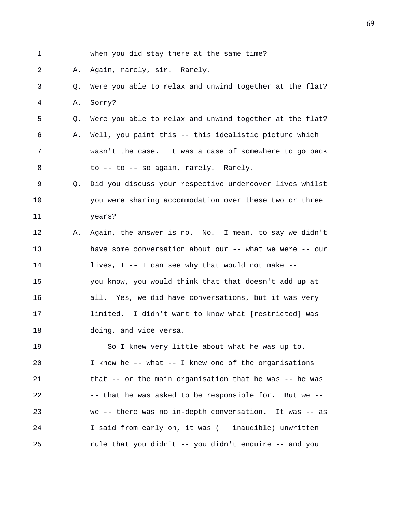| $\mathbf 1$ |    | when you did stay there at the same time?               |
|-------------|----|---------------------------------------------------------|
| 2           | Α. | Again, rarely, sir. Rarely.                             |
| 3           | Q. | Were you able to relax and unwind together at the flat? |
| 4           | Α. | Sorry?                                                  |
| 5           | Q. | Were you able to relax and unwind together at the flat? |
| 6           | Α. | Well, you paint this -- this idealistic picture which   |
| 7           |    | wasn't the case. It was a case of somewhere to go back  |
| 8           |    | to -- to -- so again, rarely. Rarely.                   |
| 9           | О. | Did you discuss your respective undercover lives whilst |
| 10          |    | you were sharing accommodation over these two or three  |
| 11          |    | years?                                                  |
| 12          | Α. | Again, the answer is no. No. I mean, to say we didn't   |
| 13          |    | have some conversation about our -- what we were -- our |
| 14          |    | lives, I -- I can see why that would not make --        |
| 15          |    | you know, you would think that that doesn't add up at   |
| 16          |    | all. Yes, we did have conversations, but it was very    |
| 17          |    | limited. I didn't want to know what [restricted] was    |
| 18          |    | doing, and vice versa.                                  |
| 19          |    | So I knew very little about what he was up to.          |
| 20          |    | I knew he -- what -- I knew one of the organisations    |
| 21          |    | that -- or the main organisation that he was -- he was  |
| 22          |    | -- that he was asked to be responsible for. But we --   |
| 23          |    | we -- there was no in-depth conversation. It was -- as  |
| 24          |    | I said from early on, it was ( inaudible) unwritten     |

25 rule that you didn't -- you didn't enquire -- and you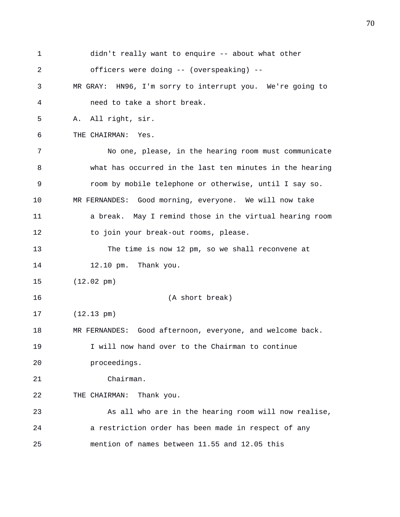| 1  | didn't really want to enquire -- about what other         |
|----|-----------------------------------------------------------|
| 2  | officers were doing -- (overspeaking) --                  |
| 3  | MR GRAY: HN96, I'm sorry to interrupt you. We're going to |
| 4  | need to take a short break.                               |
| 5  | All right, sir.<br>Α.                                     |
| 6  | THE CHAIRMAN:<br>Yes.                                     |
| 7  | No one, please, in the hearing room must communicate      |
| 8  | what has occurred in the last ten minutes in the hearing  |
| 9  | room by mobile telephone or otherwise, until I say so.    |
| 10 | MR FERNANDES: Good morning, everyone. We will now take    |
| 11 | a break. May I remind those in the virtual hearing room   |
| 12 | to join your break-out rooms, please.                     |
| 13 | The time is now 12 pm, so we shall reconvene at           |
| 14 | 12.10 pm. Thank you.                                      |
| 15 | $(12.02 \text{ pm})$                                      |
| 16 | (A short break)                                           |
| 17 | $(12.13 \text{ pm})$                                      |
| 18 | MR FERNANDES: Good afternoon, everyone, and welcome back. |
| 19 | I will now hand over to the Chairman to continue          |
| 20 | proceedings.                                              |
| 21 | Chairman.                                                 |
| 22 | THE CHAIRMAN: Thank you.                                  |
| 23 | As all who are in the hearing room will now realise,      |
| 24 | a restriction order has been made in respect of any       |
| 25 | mention of names between 11.55 and 12.05 this             |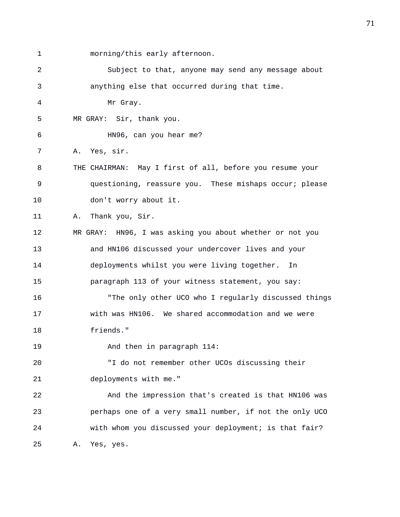1 morning/this early afternoon. 2 Subject to that, anyone may send any message about 3 anything else that occurred during that time. 4 Mr Gray. 5 MR GRAY: Sir, thank you. 6 HN96, can you hear me? 7 A. Yes, sir. 8 THE CHAIRMAN: May I first of all, before you resume your 9 questioning, reassure you. These mishaps occur; please 10 don't worry about it. 11 A. Thank you, Sir. 12 MR GRAY: HN96, I was asking you about whether or not you 13 and HN106 discussed your undercover lives and your 14 deployments whilst you were living together. In 15 paragraph 113 of your witness statement, you say: 16 "The only other UCO who I regularly discussed things 17 with was HN106. We shared accommodation and we were 18 friends." 19 And then in paragraph 114: 20 "I do not remember other UCOs discussing their 21 deployments with me." 22 And the impression that's created is that HN106 was 23 perhaps one of a very small number, if not the only UCO 24 with whom you discussed your deployment; is that fair? 25 A. Yes, yes.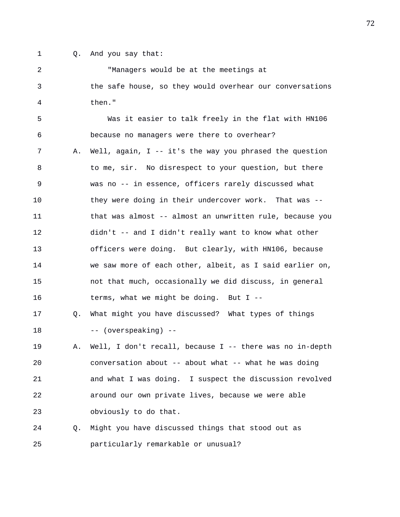- 
- 1 Q. And you say that:

2 "Managers would be at the meetings at 3 the safe house, so they would overhear our conversations 4 then." 5 Was it easier to talk freely in the flat with HN106 6 because no managers were there to overhear? 7 A. Well, again, I -- it's the way you phrased the question 8 to me, sir. No disrespect to your question, but there 9 was no -- in essence, officers rarely discussed what 10 they were doing in their undercover work. That was -- 11 that was almost -- almost an unwritten rule, because you 12 didn't -- and I didn't really want to know what other 13 officers were doing. But clearly, with HN106, because 14 we saw more of each other, albeit, as I said earlier on, 15 not that much, occasionally we did discuss, in general 16 terms, what we might be doing. But I -- 17 Q. What might you have discussed? What types of things 18 -- (overspeaking) -- 19 A. Well, I don't recall, because I -- there was no in-depth 20 conversation about -- about what -- what he was doing 21 and what I was doing. I suspect the discussion revolved 22 around our own private lives, because we were able 23 obviously to do that. 24 Q. Might you have discussed things that stood out as 25 particularly remarkable or unusual?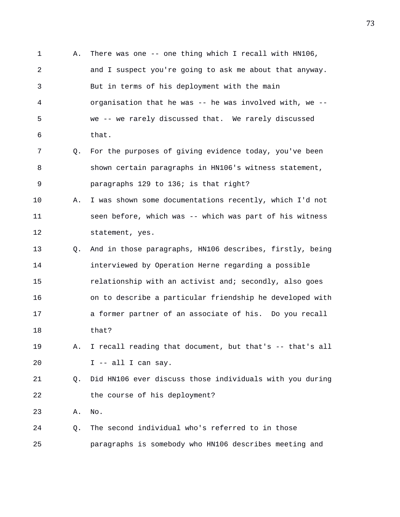1 A. There was one -- one thing which I recall with HN106, 2 and I suspect you're going to ask me about that anyway. 3 But in terms of his deployment with the main 4 organisation that he was -- he was involved with, we -- 5 we -- we rarely discussed that. We rarely discussed 6 that. 7 Q. For the purposes of giving evidence today, you've been 8 shown certain paragraphs in HN106's witness statement, 9 paragraphs 129 to 136; is that right? 10 A. I was shown some documentations recently, which I'd not 11 seen before, which was -- which was part of his witness 12 statement, yes. 13 Q. And in those paragraphs, HN106 describes, firstly, being 14 interviewed by Operation Herne regarding a possible 15 **relationship with an activist and; secondly, also goes** 16 on to describe a particular friendship he developed with 17 a former partner of an associate of his. Do you recall 18 that? 19 A. I recall reading that document, but that's -- that's all 20 I -- all I can say. 21 Q. Did HN106 ever discuss those individuals with you during 22 the course of his deployment? 23 A. No. 24 Q. The second individual who's referred to in those 25 paragraphs is somebody who HN106 describes meeting and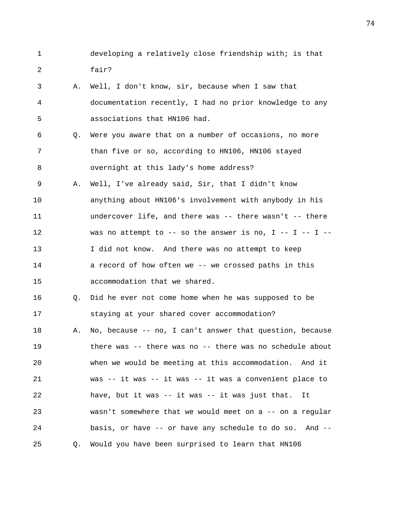- 1 developing a relatively close friendship with; is that 2 fair?
- 3 A. Well, I don't know, sir, because when I saw that 4 documentation recently, I had no prior knowledge to any 5 associations that HN106 had.
- 6 Q. Were you aware that on a number of occasions, no more 7 than five or so, according to HN106, HN106 stayed 8 overnight at this lady's home address?
- 9 A. Well, I've already said, Sir, that I didn't know 10 anything about HN106's involvement with anybody in his 11 undercover life, and there was -- there wasn't -- there 12 was no attempt to -- so the answer is no, I -- I -- I --13 I did not know. And there was no attempt to keep 14 **a** record of how often we -- we crossed paths in this 15 accommodation that we shared.
- 16 Q. Did he ever not come home when he was supposed to be 17 staying at your shared cover accommodation?
- 18 A. No, because -- no, I can't answer that question, because 19 there was -- there was no -- there was no schedule about 20 when we would be meeting at this accommodation. And it 21 was -- it was -- it was -- it was a convenient place to 22 have, but it was -- it was -- it was just that. It 23 wasn't somewhere that we would meet on a -- on a regular 24 basis, or have -- or have any schedule to do so. And -- 25 Q. Would you have been surprised to learn that HN106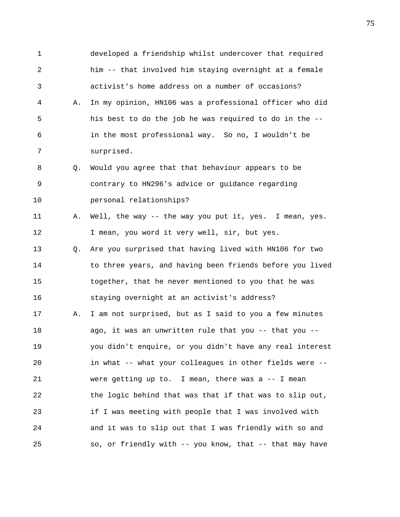1 developed a friendship whilst undercover that required 2 him -- that involved him staying overnight at a female 3 activist's home address on a number of occasions? 4 A. In my opinion, HN106 was a professional officer who did 5 his best to do the job he was required to do in the -- 6 in the most professional way. So no, I wouldn't be 7 surprised. 8 Q. Would you agree that that behaviour appears to be 9 contrary to HN296's advice or guidance regarding 10 personal relationships? 11 A. Well, the way -- the way you put it, yes. I mean, yes. 12 I mean, you word it very well, sir, but yes. 13 Q. Are you surprised that having lived with HN106 for two 14 to three years, and having been friends before you lived 15 together, that he never mentioned to you that he was 16 staying overnight at an activist's address? 17 A. I am not surprised, but as I said to you a few minutes 18 ago, it was an unwritten rule that you -- that you -- 19 you didn't enquire, or you didn't have any real interest 20 in what -- what your colleagues in other fields were -- 21 were getting up to. I mean, there was a -- I mean 22 the logic behind that was that if that was to slip out, 23 if I was meeting with people that I was involved with 24 and it was to slip out that I was friendly with so and 25 so, or friendly with -- you know, that -- that may have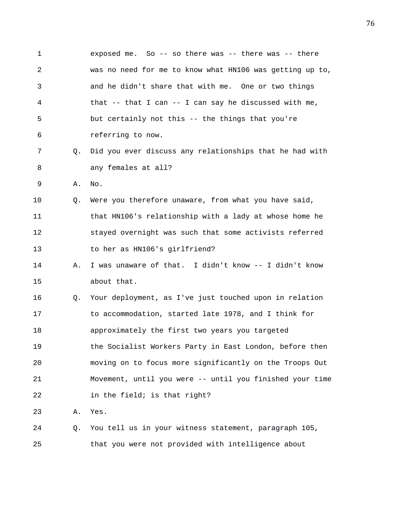1 exposed me. So -- so there was -- there was -- there 2 was no need for me to know what HN106 was getting up to, 3 and he didn't share that with me. One or two things 4 that -- that I can -- I can say he discussed with me, 5 but certainly not this -- the things that you're 6 referring to now. 7 Q. Did you ever discuss any relationships that he had with 8 any females at all? 9 A. No. 10 Q. Were you therefore unaware, from what you have said, 11 that HN106's relationship with a lady at whose home he 12 stayed overnight was such that some activists referred 13 to her as HN106's girlfriend? 14 A. I was unaware of that. I didn't know -- I didn't know 15 about that. 16 Q. Your deployment, as I've just touched upon in relation 17 to accommodation, started late 1978, and I think for 18 approximately the first two years you targeted 19 the Socialist Workers Party in East London, before then 20 moving on to focus more significantly on the Troops Out 21 Movement, until you were -- until you finished your time 22 in the field; is that right? 23 A. Yes. 24 Q. You tell us in your witness statement, paragraph 105, 25 that you were not provided with intelligence about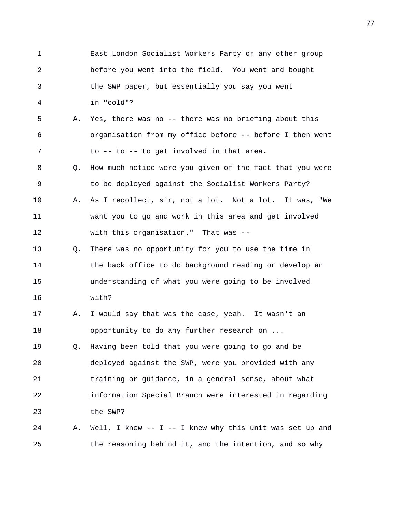1 East London Socialist Workers Party or any other group 2 before you went into the field. You went and bought 3 the SWP paper, but essentially you say you went 4 in "cold"? 5 A. Yes, there was no -- there was no briefing about this 6 organisation from my office before -- before I then went 7 to -- to -- to get involved in that area. 8 Q. How much notice were you given of the fact that you were 9 to be deployed against the Socialist Workers Party? 10 A. As I recollect, sir, not a lot. Not a lot. It was, "We 11 want you to go and work in this area and get involved 12 with this organisation." That was -- 13 Q. There was no opportunity for you to use the time in 14 the back office to do background reading or develop an 15 understanding of what you were going to be involved 16 with? 17 A. I would say that was the case, yeah. It wasn't an 18 opportunity to do any further research on ... 19 Q. Having been told that you were going to go and be 20 deployed against the SWP, were you provided with any 21 training or guidance, in a general sense, about what 22 information Special Branch were interested in regarding 23 the SWP? 24 A. Well, I knew -- I -- I knew why this unit was set up and 25 the reasoning behind it, and the intention, and so why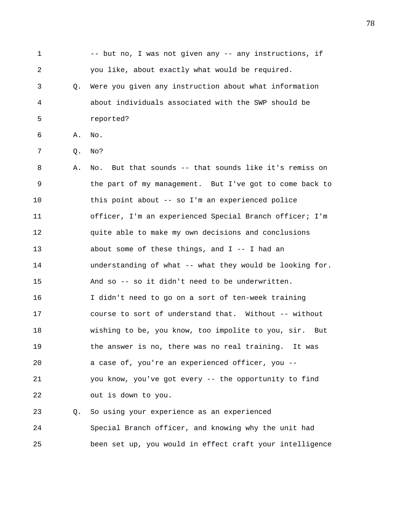1 -- but no, I was not given any -- any instructions, if 2 you like, about exactly what would be required. 3 Q. Were you given any instruction about what information 4 about individuals associated with the SWP should be 5 reported? 6 A. No. 7 Q. No? 8 A. No. But that sounds -- that sounds like it's remiss on 9 the part of my management. But I've got to come back to 10 this point about -- so I'm an experienced police 11 officer, I'm an experienced Special Branch officer; I'm 12 quite able to make my own decisions and conclusions 13 about some of these things, and I -- I had an 14 understanding of what -- what they would be looking for. 15 And so -- so it didn't need to be underwritten. 16 I didn't need to go on a sort of ten-week training 17 course to sort of understand that. Without -- without 18 wishing to be, you know, too impolite to you, sir. But 19 the answer is no, there was no real training. It was 20 a case of, you're an experienced officer, you -- 21 you know, you've got every -- the opportunity to find 22 out is down to you. 23 Q. So using your experience as an experienced 24 Special Branch officer, and knowing why the unit had

25 been set up, you would in effect craft your intelligence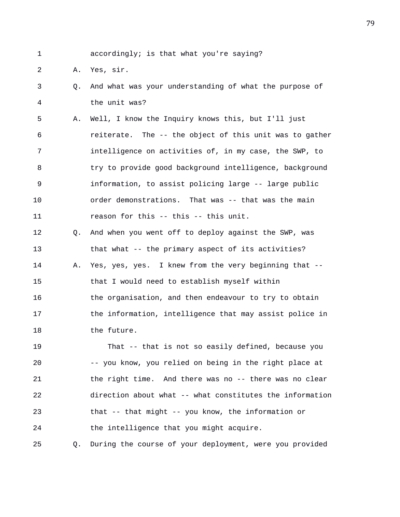1 accordingly; is that what you're saying?

2 A. Yes, sir.

18 the future.

3 Q. And what was your understanding of what the purpose of 4 the unit was?

5 A. Well, I know the Inquiry knows this, but I'll just 6 reiterate. The -- the object of this unit was to gather 7 intelligence on activities of, in my case, the SWP, to 8 try to provide good background intelligence, background 9 information, to assist policing large -- large public 10 order demonstrations. That was -- that was the main 11 reason for this -- this -- this unit.

12 Q. And when you went off to deploy against the SWP, was 13 that what -- the primary aspect of its activities? 14 A. Yes, yes, yes. I knew from the very beginning that -- 15 that I would need to establish myself within 16 the organisation, and then endeavour to try to obtain 17 the information, intelligence that may assist police in

19 That -- that is not so easily defined, because you 20 -- you know, you relied on being in the right place at 21 the right time. And there was no -- there was no clear 22 direction about what -- what constitutes the information 23 that -- that might -- you know, the information or 24 the intelligence that you might acquire.

25 Q. During the course of your deployment, were you provided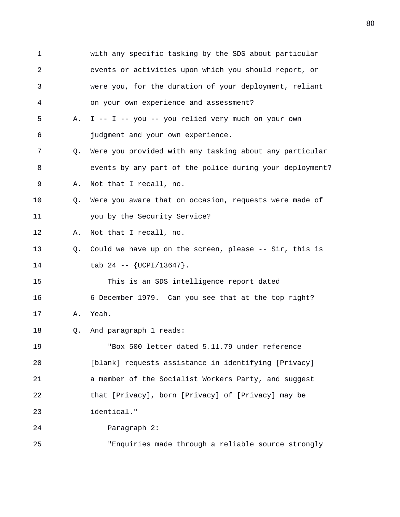1 with any specific tasking by the SDS about particular 2 events or activities upon which you should report, or 3 were you, for the duration of your deployment, reliant 4 on your own experience and assessment? 5 A. I -- I -- you -- you relied very much on your own 6 judgment and your own experience. 7 Q. Were you provided with any tasking about any particular 8 events by any part of the police during your deployment? 9 A. Not that I recall, no. 10 Q. Were you aware that on occasion, requests were made of 11 you by the Security Service? 12 A. Not that I recall, no. 13 Q. Could we have up on the screen, please -- Sir, this is 14  $\text{tab } 24 -- \{UCPI/13647\}.$ 15 This is an SDS intelligence report dated 16 6 December 1979. Can you see that at the top right? 17 A. Yeah. 18 Q. And paragraph 1 reads: 19 "Box 500 letter dated 5.11.79 under reference 20 [blank] requests assistance in identifying [Privacy] 21 a member of the Socialist Workers Party, and suggest 22 that [Privacy], born [Privacy] of [Privacy] may be 23 identical." 24 Paragraph 2: 25 "Enquiries made through a reliable source strongly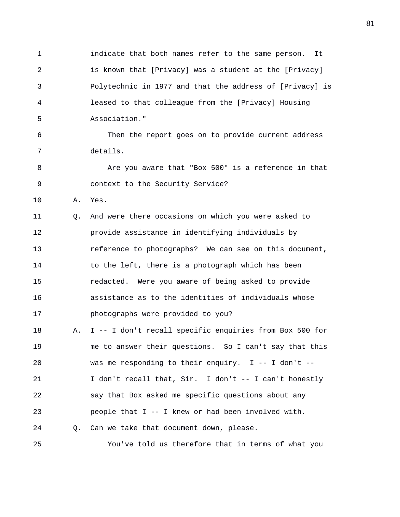1 indicate that both names refer to the same person. It 2 is known that [Privacy] was a student at the [Privacy] 3 Polytechnic in 1977 and that the address of [Privacy] is 4 leased to that colleague from the [Privacy] Housing 5 Association." 6 Then the report goes on to provide current address 7 details. 8 Are you aware that "Box 500" is a reference in that 9 context to the Security Service? 10 A. Yes. 11 Q. And were there occasions on which you were asked to 12 provide assistance in identifying individuals by 13 reference to photographs? We can see on this document, 14 to the left, there is a photograph which has been 15 redacted. Were you aware of being asked to provide 16 assistance as to the identities of individuals whose 17 photographs were provided to you? 18 A. I -- I don't recall specific enquiries from Box 500 for 19 me to answer their questions. So I can't say that this 20 was me responding to their enquiry. I -- I don't -- 21 I don't recall that, Sir. I don't -- I can't honestly 22 say that Box asked me specific questions about any

23 people that I -- I knew or had been involved with.

24 Q. Can we take that document down, please.

25 You've told us therefore that in terms of what you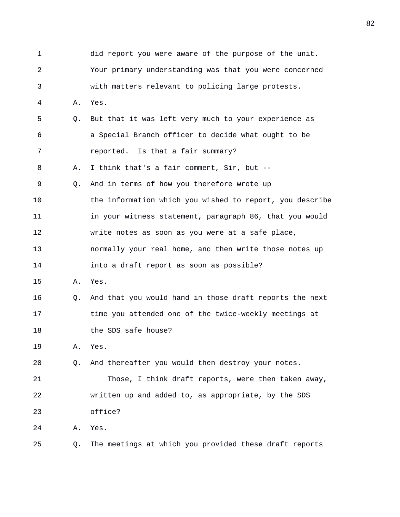1 did report you were aware of the purpose of the unit. 2 Your primary understanding was that you were concerned 3 with matters relevant to policing large protests. 4 A. Yes. 5 Q. But that it was left very much to your experience as 6 a Special Branch officer to decide what ought to be 7 reported. Is that a fair summary? 8 A. I think that's a fair comment, Sir, but -- 9 Q. And in terms of how you therefore wrote up 10 the information which you wished to report, you describe 11 in your witness statement, paragraph 86, that you would 12 write notes as soon as you were at a safe place, 13 normally your real home, and then write those notes up 14 into a draft report as soon as possible? 15 A. Yes. 16 Q. And that you would hand in those draft reports the next 17 time you attended one of the twice-weekly meetings at 18 the SDS safe house? 19 A. Yes. 20 Q. And thereafter you would then destroy your notes. 21 Those, I think draft reports, were then taken away, 22 written up and added to, as appropriate, by the SDS 23 office? 24 A. Yes. 25 Q. The meetings at which you provided these draft reports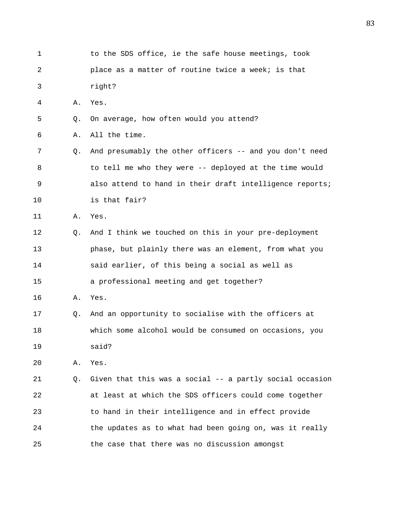1 to the SDS office, ie the safe house meetings, took 2 place as a matter of routine twice a week; is that 3 right? 4 A. Yes. 5 Q. On average, how often would you attend? 6 A. All the time. 7 Q. And presumably the other officers -- and you don't need 8 to tell me who they were -- deployed at the time would 9 also attend to hand in their draft intelligence reports; 10 is that fair? 11 A. Yes. 12 Q. And I think we touched on this in your pre-deployment 13 phase, but plainly there was an element, from what you 14 said earlier, of this being a social as well as 15 a professional meeting and get together? 16 A. Yes. 17 Q. And an opportunity to socialise with the officers at 18 which some alcohol would be consumed on occasions, you 19 said? 20 A. Yes. 21 Q. Given that this was a social -- a partly social occasion 22 at least at which the SDS officers could come together 23 to hand in their intelligence and in effect provide 24 the updates as to what had been going on, was it really 25 the case that there was no discussion amongst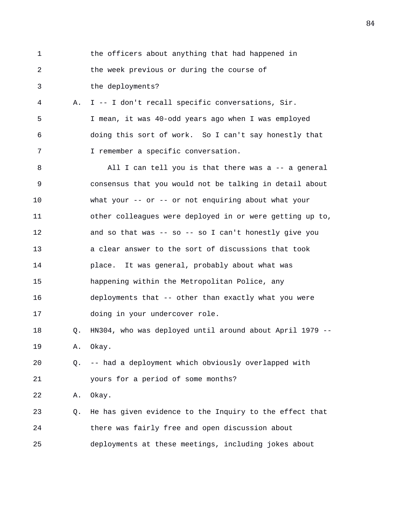1 the officers about anything that had happened in 2 the week previous or during the course of 3 the deployments? 4 A. I -- I don't recall specific conversations, Sir. 5 I mean, it was 40-odd years ago when I was employed 6 doing this sort of work. So I can't say honestly that 7 I remember a specific conversation. 8 All I can tell you is that there was a -- a general 9 consensus that you would not be talking in detail about 10 what your -- or -- or not enquiring about what your 11 other colleagues were deployed in or were getting up to, 12 and so that was -- so -- so I can't honestly give you 13 a clear answer to the sort of discussions that took 14 place. It was general, probably about what was 15 happening within the Metropolitan Police, any 16 deployments that -- other than exactly what you were 17 doing in your undercover role. 18 Q. HN304, who was deployed until around about April 1979 -- 19 A. Okay. 20 Q. -- had a deployment which obviously overlapped with 21 yours for a period of some months? 22 A. Okay. 23 Q. He has given evidence to the Inquiry to the effect that 24 there was fairly free and open discussion about 25 deployments at these meetings, including jokes about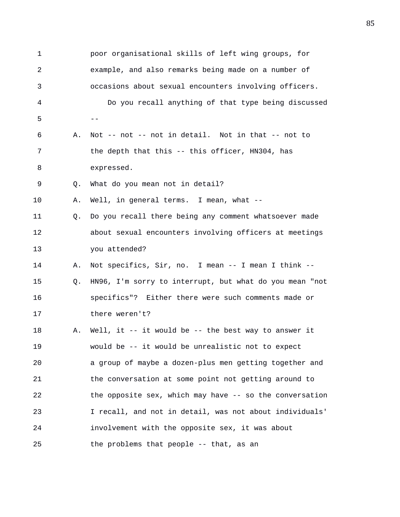1 poor organisational skills of left wing groups, for 2 example, and also remarks being made on a number of 3 occasions about sexual encounters involving officers. 4 Do you recall anything of that type being discussed  $5$  --6 A. Not -- not -- not in detail. Not in that -- not to 7 the depth that this -- this officer, HN304, has 8 expressed. 9 Q. What do you mean not in detail? 10 A. Well, in general terms. I mean, what -- 11 Q. Do you recall there being any comment whatsoever made 12 about sexual encounters involving officers at meetings 13 you attended? 14 A. Not specifics, Sir, no. I mean -- I mean I think -- 15 Q. HN96, I'm sorry to interrupt, but what do you mean "not 16 specifics"? Either there were such comments made or 17 there weren't? 18 A. Well, it -- it would be -- the best way to answer it 19 would be -- it would be unrealistic not to expect 20 a group of maybe a dozen-plus men getting together and 21 the conversation at some point not getting around to 22 the opposite sex, which may have -- so the conversation 23 I recall, and not in detail, was not about individuals' 24 involvement with the opposite sex, it was about 25 the problems that people -- that, as an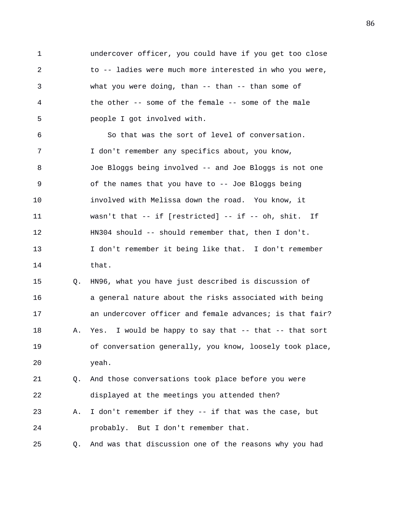1 undercover officer, you could have if you get too close 2 to -- ladies were much more interested in who you were, 3 what you were doing, than -- than -- than some of 4 the other -- some of the female -- some of the male 5 people I got involved with.

6 So that was the sort of level of conversation. 7 I don't remember any specifics about, you know, 8 Joe Bloggs being involved -- and Joe Bloggs is not one 9 of the names that you have to -- Joe Bloggs being 10 involved with Melissa down the road. You know, it 11 wasn't that -- if [restricted] -- if -- oh, shit. If 12 HN304 should -- should remember that, then I don't. 13 I don't remember it being like that. I don't remember 14 that.

15 Q. HN96, what you have just described is discussion of 16 a general nature about the risks associated with being 17 an undercover officer and female advances; is that fair? 18 A. Yes. I would be happy to say that -- that -- that sort 19 of conversation generally, you know, loosely took place, 20 yeah.

21 Q. And those conversations took place before you were 22 displayed at the meetings you attended then?

23 A. I don't remember if they -- if that was the case, but 24 probably. But I don't remember that.

25 Q. And was that discussion one of the reasons why you had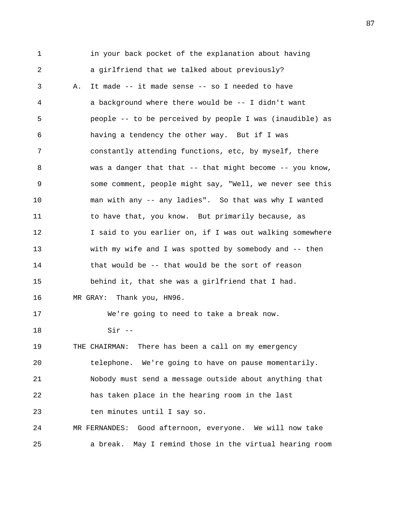1 in your back pocket of the explanation about having 2 a girlfriend that we talked about previously? 3 A. It made -- it made sense -- so I needed to have 4 a background where there would be -- I didn't want 5 people -- to be perceived by people I was (inaudible) as 6 having a tendency the other way. But if I was 7 constantly attending functions, etc, by myself, there 8 was a danger that that -- that might become -- you know, 9 some comment, people might say, "Well, we never see this 10 man with any -- any ladies". So that was why I wanted 11 to have that, you know. But primarily because, as 12 I said to you earlier on, if I was out walking somewhere 13 with my wife and I was spotted by somebody and -- then 14 that would be -- that would be the sort of reason 15 behind it, that she was a girlfriend that I had. 16 MR GRAY: Thank you, HN96. 17 We're going to need to take a break now. 18 Sir -- 19 THE CHAIRMAN: There has been a call on my emergency 20 telephone. We're going to have on pause momentarily. 21 Nobody must send a message outside about anything that 22 has taken place in the hearing room in the last 23 ten minutes until I say so. 24 MR FERNANDES: Good afternoon, everyone. We will now take 25 a break. May I remind those in the virtual hearing room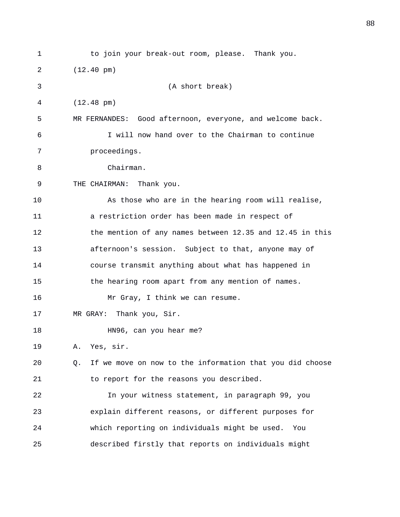1 to join your break-out room, please. Thank you. 2 (12.40 pm) 3 (A short break) 4 (12.48 pm) 5 MR FERNANDES: Good afternoon, everyone, and welcome back. 6 I will now hand over to the Chairman to continue 7 proceedings. 8 Chairman. 9 THE CHAIRMAN: Thank you. 10 As those who are in the hearing room will realise, 11 a restriction order has been made in respect of 12 the mention of any names between 12.35 and 12.45 in this 13 afternoon's session. Subject to that, anyone may of 14 course transmit anything about what has happened in 15 the hearing room apart from any mention of names. 16 Mr Gray, I think we can resume. 17 MR GRAY: Thank you, Sir. 18 HN96, can you hear me? 19 A. Yes, sir. 20 Q. If we move on now to the information that you did choose 21 to report for the reasons you described. 22 In your witness statement, in paragraph 99, you 23 explain different reasons, or different purposes for 24 which reporting on individuals might be used. You 25 described firstly that reports on individuals might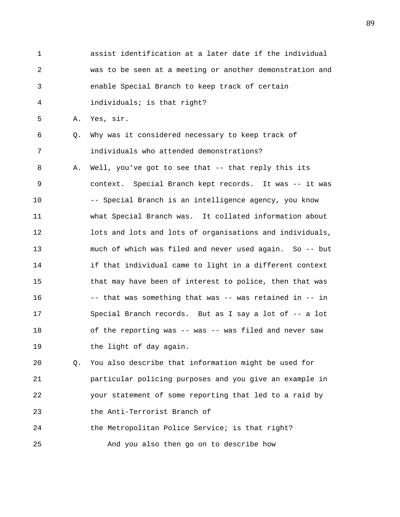1 assist identification at a later date if the individual 2 was to be seen at a meeting or another demonstration and 3 enable Special Branch to keep track of certain 4 individuals; is that right? 5 A. Yes, sir. 6 Q. Why was it considered necessary to keep track of 7 individuals who attended demonstrations? 8 A. Well, you've got to see that -- that reply this its 9 context. Special Branch kept records. It was -- it was 10 -- Special Branch is an intelligence agency, you know 11 what Special Branch was. It collated information about 12 lots and lots and lots of organisations and individuals, 13 much of which was filed and never used again. So -- but 14 **if that individual came to light in a different context** 15 that may have been of interest to police, then that was 16 -- that was something that was -- was retained in -- in 17 Special Branch records. But as I say a lot of -- a lot 18 of the reporting was -- was -- was filed and never saw 19 the light of day again.

20 Q. You also describe that information might be used for 21 particular policing purposes and you give an example in 22 your statement of some reporting that led to a raid by 23 the Anti-Terrorist Branch of 24 the Metropolitan Police Service; is that right?

25 And you also then go on to describe how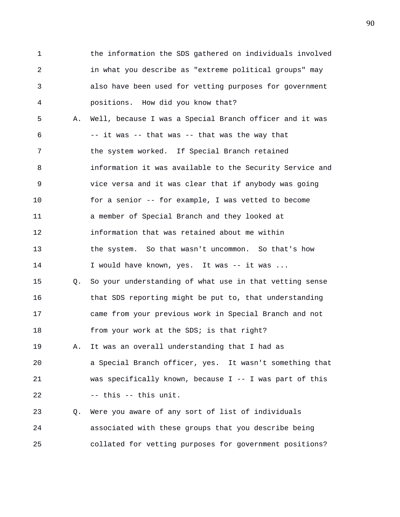1 the information the SDS gathered on individuals involved 2 in what you describe as "extreme political groups" may 3 also have been used for vetting purposes for government 4 positions. How did you know that? 5 A. Well, because I was a Special Branch officer and it was 6 -- it was -- that was -- that was the way that 7 the system worked. If Special Branch retained 8 information it was available to the Security Service and 9 vice versa and it was clear that if anybody was going 10 for a senior -- for example, I was vetted to become 11 a member of Special Branch and they looked at 12 information that was retained about me within 13 the system. So that wasn't uncommon. So that's how 14 I would have known, yes. It was -- it was ... 15 Q. So your understanding of what use in that vetting sense 16 that SDS reporting might be put to, that understanding 17 came from your previous work in Special Branch and not 18 from your work at the SDS; is that right? 19 A. It was an overall understanding that I had as 20 a Special Branch officer, yes. It wasn't something that 21 was specifically known, because I -- I was part of this 22 -- this -- this unit. 23 Q. Were you aware of any sort of list of individuals 24 associated with these groups that you describe being 25 collated for vetting purposes for government positions?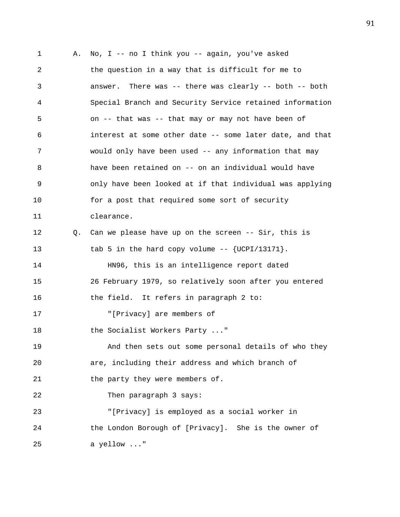1 A. No, I -- no I think you -- again, you've asked 2 the question in a way that is difficult for me to 3 answer. There was -- there was clearly -- both -- both 4 Special Branch and Security Service retained information 5 on -- that was -- that may or may not have been of 6 interest at some other date -- some later date, and that 7 would only have been used -- any information that may 8 have been retained on -- on an individual would have 9 only have been looked at if that individual was applying 10 for a post that required some sort of security 11 clearance. 12 Q. Can we please have up on the screen -- Sir, this is 13 tab 5 in the hard copy volume -- {UCPI/13171}. 14 HN96, this is an intelligence report dated 15 26 February 1979, so relatively soon after you entered 16 the field. It refers in paragraph 2 to: 17 "[Privacy] are members of 18 the Socialist Workers Party ..." 19 And then sets out some personal details of who they 20 are, including their address and which branch of 21 the party they were members of. 22 Then paragraph 3 says: 23 "[Privacy] is employed as a social worker in 24 the London Borough of [Privacy]. She is the owner of 25 a yellow ..."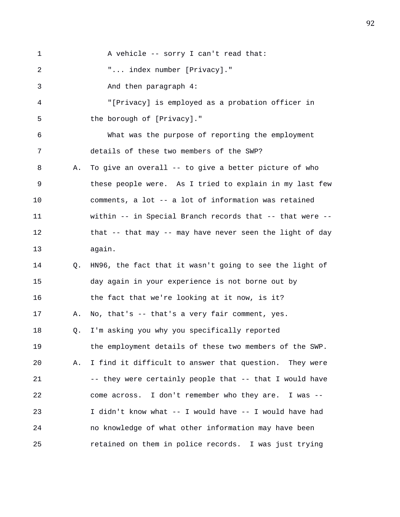1 A vehicle -- sorry I can't read that: 2 "... index number [Privacy]." 3 And then paragraph 4: 4 "[Privacy] is employed as a probation officer in 5 the borough of [Privacy]." 6 What was the purpose of reporting the employment 7 details of these two members of the SWP? 8 A. To give an overall -- to give a better picture of who 9 these people were. As I tried to explain in my last few 10 comments, a lot -- a lot of information was retained 11 within -- in Special Branch records that -- that were -- 12 that -- that may -- may have never seen the light of day 13 again. 14 Q. HN96, the fact that it wasn't going to see the light of 15 day again in your experience is not borne out by 16 the fact that we're looking at it now, is it? 17 A. No, that's -- that's a very fair comment, yes. 18 Q. I'm asking you why you specifically reported 19 the employment details of these two members of the SWP. 20 A. I find it difficult to answer that question. They were 21 -- they were certainly people that -- that I would have 22 come across. I don't remember who they are. I was -- 23 I didn't know what -- I would have -- I would have had 24 no knowledge of what other information may have been 25 retained on them in police records. I was just trying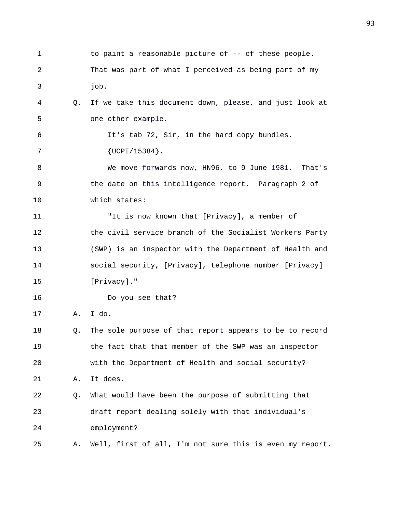| 1  |    | to paint a reasonable picture of -- of these people.     |
|----|----|----------------------------------------------------------|
| 2  |    | That was part of what I perceived as being part of my    |
| 3  |    | job.                                                     |
| 4  | Q. | If we take this document down, please, and just look at  |
| 5  |    | one other example.                                       |
| 6  |    | It's tab 72, Sir, in the hard copy bundles.              |
| 7  |    | $\{UCPI/15384\}$ .                                       |
| 8  |    | We move forwards now, HN96, to 9 June 1981. That's       |
| 9  |    | the date on this intelligence report. Paragraph 2 of     |
| 10 |    | which states:                                            |
| 11 |    | "It is now known that [Privacy], a member of             |
| 12 |    | the civil service branch of the Socialist Workers Party  |
| 13 |    | (SWP) is an inspector with the Department of Health and  |
| 14 |    | social security, [Privacy], telephone number [Privacy]   |
| 15 |    | [Privacy]."                                              |
| 16 |    | Do you see that?                                         |
| 17 | Α. | I do.                                                    |
| 18 | Q. | The sole purpose of that report appears to be to record  |
| 19 |    | the fact that that member of the SWP was an inspector    |
| 20 |    | with the Department of Health and social security?       |
| 21 | Α. | It does.                                                 |
| 22 | Q. | What would have been the purpose of submitting that      |
| 23 |    | draft report dealing solely with that individual's       |
| 24 |    | employment?                                              |
| 25 | Α. | Well, first of all, I'm not sure this is even my report. |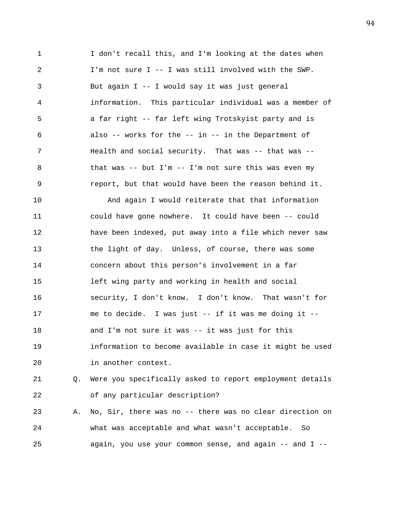1 I don't recall this, and I'm looking at the dates when 2 I'm not sure I -- I was still involved with the SWP. 3 But again I -- I would say it was just general 4 information. This particular individual was a member of 5 a far right -- far left wing Trotskyist party and is 6 also -- works for the -- in -- in the Department of 7 Health and social security. That was -- that was -- 8 that was -- but I'm -- I'm not sure this was even my 9 report, but that would have been the reason behind it.

10 And again I would reiterate that that information 11 could have gone nowhere. It could have been -- could 12 have been indexed, put away into a file which never saw 13 the light of day. Unless, of course, there was some 14 concern about this person's involvement in a far 15 left wing party and working in health and social 16 security, I don't know. I don't know. That wasn't for 17 me to decide. I was just -- if it was me doing it -- 18 and I'm not sure it was -- it was just for this 19 information to become available in case it might be used 20 in another context.

21 Q. Were you specifically asked to report employment details 22 of any particular description?

23 A. No, Sir, there was no -- there was no clear direction on 24 what was acceptable and what wasn't acceptable. So 25 again, you use your common sense, and again -- and I --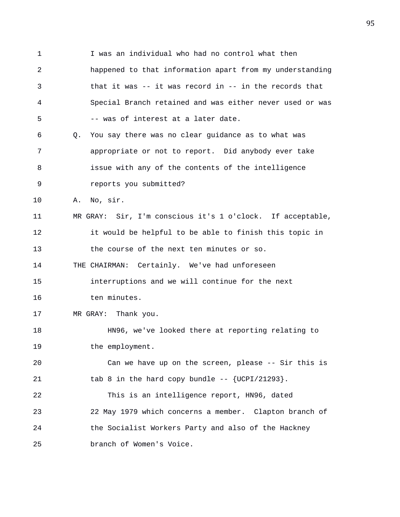1 I was an individual who had no control what then 2 happened to that information apart from my understanding 3 that it was -- it was record in -- in the records that 4 Special Branch retained and was either never used or was 5 -- was of interest at a later date. 6 Q. You say there was no clear guidance as to what was 7 appropriate or not to report. Did anybody ever take 8 issue with any of the contents of the intelligence 9 reports you submitted? 10 A. No, sir. 11 MR GRAY: Sir, I'm conscious it's 1 o'clock. If acceptable, 12 it would be helpful to be able to finish this topic in 13 the course of the next ten minutes or so. 14 THE CHAIRMAN: Certainly. We've had unforeseen 15 interruptions and we will continue for the next 16 ten minutes. 17 MR GRAY: Thank you. 18 HN96, we've looked there at reporting relating to 19 the employment. 20 Can we have up on the screen, please -- Sir this is 21 tab 8 in the hard copy bundle  $-$  {UCPI/21293}. 22 This is an intelligence report, HN96, dated 23 22 May 1979 which concerns a member. Clapton branch of 24 the Socialist Workers Party and also of the Hackney 25 branch of Women's Voice.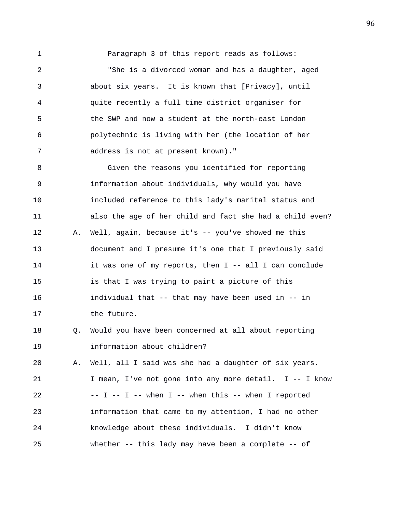1 Paragraph 3 of this report reads as follows:

2 "She is a divorced woman and has a daughter, aged 3 about six years. It is known that [Privacy], until 4 quite recently a full time district organiser for 5 the SWP and now a student at the north-east London 6 polytechnic is living with her (the location of her 7 address is not at present known)."

8 Given the reasons you identified for reporting 9 information about individuals, why would you have 10 included reference to this lady's marital status and 11 also the age of her child and fact she had a child even? 12 A. Well, again, because it's -- you've showed me this 13 document and I presume it's one that I previously said 14 it was one of my reports, then I -- all I can conclude 15 is that I was trying to paint a picture of this 16 individual that -- that may have been used in -- in 17 the future.

18 Q. Would you have been concerned at all about reporting 19 information about children?

20 A. Well, all I said was she had a daughter of six years. 21 I mean, I've not gone into any more detail. I -- I know 22  $-- I -- I -- when I -- when this -- when I reported$ 23 information that came to my attention, I had no other 24 knowledge about these individuals. I didn't know 25 whether -- this lady may have been a complete -- of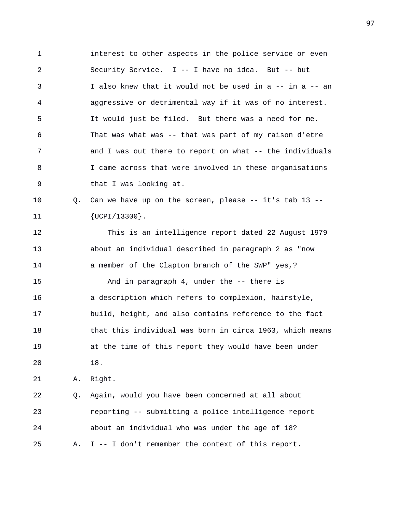1 interest to other aspects in the police service or even 2 Security Service. I -- I have no idea. But -- but 3 I also knew that it would not be used in a -- in a -- an 4 aggressive or detrimental way if it was of no interest. 5 It would just be filed. But there was a need for me. 6 That was what was -- that was part of my raison d'etre 7 and I was out there to report on what -- the individuals 8 I came across that were involved in these organisations 9 that I was looking at.

10 Q. Can we have up on the screen, please -- it's tab 13 -- 11 {UCPI/13300}.

12 This is an intelligence report dated 22 August 1979 13 about an individual described in paragraph 2 as "now 14 a member of the Clapton branch of the SWP" yes,?

15 And in paragraph 4, under the -- there is 16 a description which refers to complexion, hairstyle, 17 build, height, and also contains reference to the fact 18 that this individual was born in circa 1963, which means 19 at the time of this report they would have been under 20 18.

21 A. Right.

22 Q. Again, would you have been concerned at all about 23 reporting -- submitting a police intelligence report 24 about an individual who was under the age of 18? 25 A. I -- I don't remember the context of this report.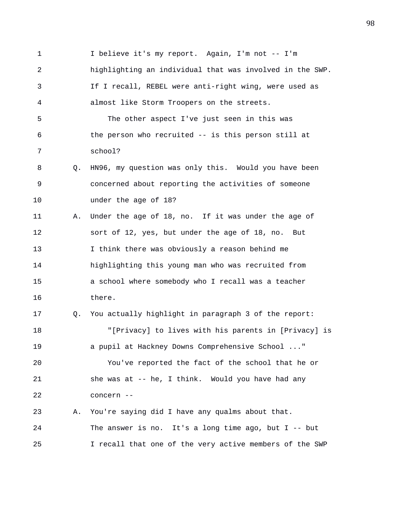1 I believe it's my report. Again, I'm not -- I'm 2 highlighting an individual that was involved in the SWP. 3 If I recall, REBEL were anti-right wing, were used as 4 almost like Storm Troopers on the streets. 5 The other aspect I've just seen in this was 6 the person who recruited -- is this person still at 7 school? 8 Q. HN96, my question was only this. Would you have been 9 concerned about reporting the activities of someone 10 under the age of 18? 11 A. Under the age of 18, no. If it was under the age of 12 sort of 12, yes, but under the age of 18, no. But 13 I think there was obviously a reason behind me 14 highlighting this young man who was recruited from 15 a school where somebody who I recall was a teacher 16 there. 17 Q. You actually highlight in paragraph 3 of the report: 18 "[Privacy] to lives with his parents in [Privacy] is 19 a pupil at Hackney Downs Comprehensive School ..." 20 You've reported the fact of the school that he or 21 she was at -- he, I think. Would you have had any 22 concern -- 23 A. You're saying did I have any qualms about that. 24 The answer is no. It's a long time ago, but I -- but 25 I recall that one of the very active members of the SWP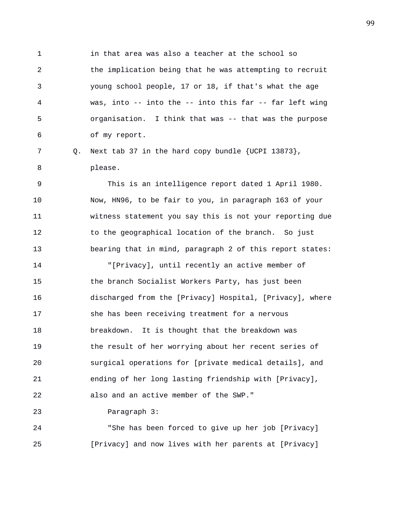1 in that area was also a teacher at the school so 2 the implication being that he was attempting to recruit 3 young school people, 17 or 18, if that's what the age 4 was, into -- into the -- into this far -- far left wing 5 organisation. I think that was -- that was the purpose 6 of my report.

7 Q. Next tab 37 in the hard copy bundle {UCPI 13873}, 8 please.

9 This is an intelligence report dated 1 April 1980. 10 Now, HN96, to be fair to you, in paragraph 163 of your 11 witness statement you say this is not your reporting due 12 to the geographical location of the branch. So just 13 bearing that in mind, paragraph 2 of this report states:

14 "[Privacy], until recently an active member of 15 the branch Socialist Workers Party, has just been 16 discharged from the [Privacy] Hospital, [Privacy], where 17 she has been receiving treatment for a nervous 18 breakdown. It is thought that the breakdown was 19 the result of her worrying about her recent series of 20 surgical operations for [private medical details], and 21 ending of her long lasting friendship with [Privacy], 22 also and an active member of the SWP."

23 Paragraph 3:

24 "She has been forced to give up her job [Privacy] 25 [Privacy] and now lives with her parents at [Privacy]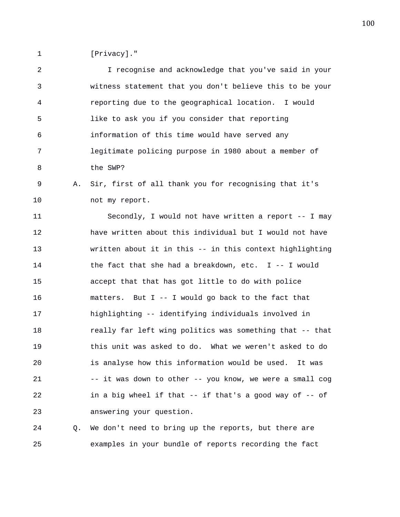1 [Privacy]."

2 I recognise and acknowledge that you've said in your 3 witness statement that you don't believe this to be your 4 reporting due to the geographical location. I would 5 like to ask you if you consider that reporting 6 information of this time would have served any 7 legitimate policing purpose in 1980 about a member of 8 the SWP? 9 A. Sir, first of all thank you for recognising that it's 10 not my report. 11 Secondly, I would not have written a report -- I may 12 have written about this individual but I would not have 13 written about it in this -- in this context highlighting 14 the fact that she had a breakdown, etc. I -- I would 15 accept that that has got little to do with police 16 matters. But I -- I would go back to the fact that 17 highlighting -- identifying individuals involved in 18 really far left wing politics was something that -- that 19 this unit was asked to do. What we weren't asked to do 20 is analyse how this information would be used. It was 21 -- it was down to other -- you know, we were a small cog 22 in a big wheel if that -- if that's a good way of -- of 23 answering your question. 24 Q. We don't need to bring up the reports, but there are

25 examples in your bundle of reports recording the fact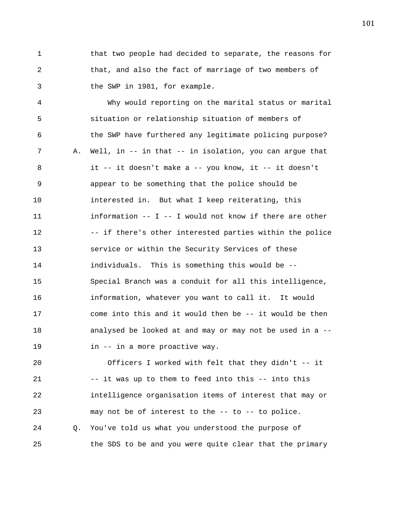1 that two people had decided to separate, the reasons for 2 that, and also the fact of marriage of two members of 3 the SWP in 1981, for example.

4 Why would reporting on the marital status or marital 5 situation or relationship situation of members of 6 the SWP have furthered any legitimate policing purpose? 7 A. Well, in -- in that -- in isolation, you can argue that 8 it -- it doesn't make a -- you know, it -- it doesn't 9 appear to be something that the police should be 10 interested in. But what I keep reiterating, this 11 information -- I -- I would not know if there are other 12 -- if there's other interested parties within the police 13 service or within the Security Services of these 14 individuals. This is something this would be -- 15 Special Branch was a conduit for all this intelligence, 16 information, whatever you want to call it. It would 17 come into this and it would then be -- it would be then 18 analysed be looked at and may or may not be used in a -- 19 in -- in a more proactive way.

20 Officers I worked with felt that they didn't -- it 21 -- it was up to them to feed into this -- into this 22 intelligence organisation items of interest that may or 23 may not be of interest to the -- to -- to police. 24 Q. You've told us what you understood the purpose of 25 the SDS to be and you were quite clear that the primary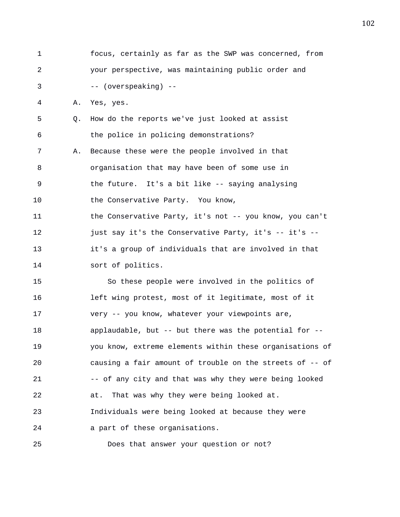1 focus, certainly as far as the SWP was concerned, from 2 your perspective, was maintaining public order and 3 -- (overspeaking) -- 4 A. Yes, yes. 5 Q. How do the reports we've just looked at assist 6 the police in policing demonstrations? 7 A. Because these were the people involved in that 8 organisation that may have been of some use in 9 the future. It's a bit like -- saying analysing 10 the Conservative Party. You know, 11 the Conservative Party, it's not -- you know, you can't 12 just say it's the Conservative Party, it's -- it's --13 it's a group of individuals that are involved in that 14 sort of politics. 15 So these people were involved in the politics of 16 left wing protest, most of it legitimate, most of it 17 very -- you know, whatever your viewpoints are, 18 applaudable, but -- but there was the potential for -- 19 you know, extreme elements within these organisations of 20 causing a fair amount of trouble on the streets of -- of 21 -- of any city and that was why they were being looked 22 at. That was why they were being looked at. 23 Individuals were being looked at because they were 24 a part of these organisations.

25 Does that answer your question or not?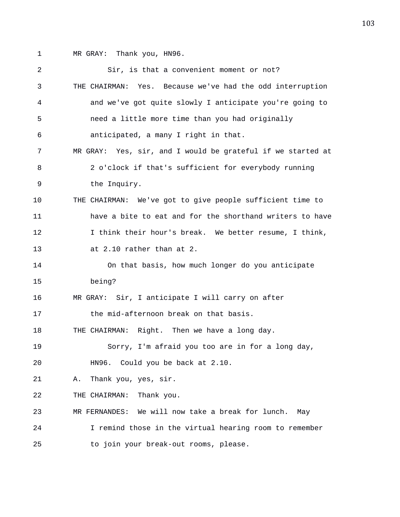1 MR GRAY: Thank you, HN96.

| 2  | Sir, is that a convenient moment or not?                    |
|----|-------------------------------------------------------------|
| 3  | THE CHAIRMAN: Yes. Because we've had the odd interruption   |
| 4  | and we've got quite slowly I anticipate you're going to     |
| 5  | need a little more time than you had originally             |
| 6  | anticipated, a many I right in that.                        |
| 7  | MR GRAY: Yes, sir, and I would be grateful if we started at |
| 8  | 2 o'clock if that's sufficient for everybody running        |
| 9  | the Inquiry.                                                |
| 10 | THE CHAIRMAN: We've got to give people sufficient time to   |
| 11 | have a bite to eat and for the shorthand writers to have    |
| 12 | I think their hour's break. We better resume, I think,      |
| 13 | at 2.10 rather than at 2.                                   |
| 14 | On that basis, how much longer do you anticipate            |
| 15 | being?                                                      |
| 16 | MR GRAY: Sir, I anticipate I will carry on after            |
| 17 | the mid-afternoon break on that basis.                      |
| 18 | THE CHAIRMAN: Right. Then we have a long day.               |
| 19 | Sorry, I'm afraid you too are in for a long day,            |
| 20 | HN96. Could you be back at 2.10.                            |
| 21 | Thank you, yes, sir.<br>Α.                                  |
| 22 | Thank you.<br>THE CHAIRMAN:                                 |
| 23 | We will now take a break for lunch.<br>MR FERNANDES:<br>May |
| 24 | I remind those in the virtual hearing room to remember      |
| 25 | to join your break-out rooms, please.                       |